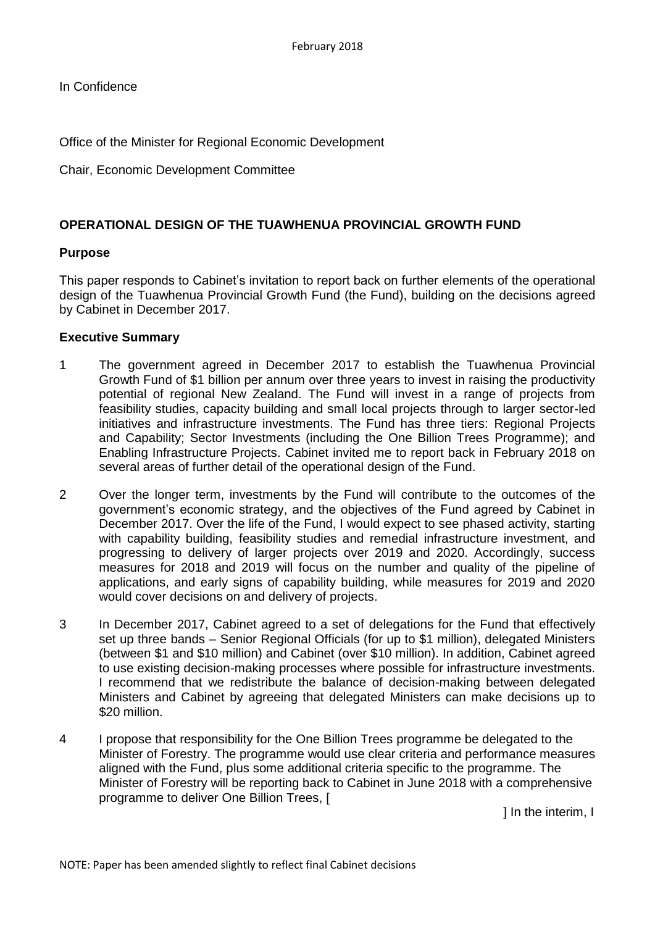In Confidence

Office of the Minister for Regional Economic Development

Chair, Economic Development Committee

## **OPERATIONAL DESIGN OF THE TUAWHENUA PROVINCIAL GROWTH FUND**

### **Purpose**

This paper responds to Cabinet's invitation to report back on further elements of the operational design of the Tuawhenua Provincial Growth Fund (the Fund), building on the decisions agreed by Cabinet in December 2017.

### **Executive Summary**

- 1 The government agreed in December 2017 to establish the Tuawhenua Provincial Growth Fund of \$1 billion per annum over three years to invest in raising the productivity potential of regional New Zealand. The Fund will invest in a range of projects from feasibility studies, capacity building and small local projects through to larger sector-led initiatives and infrastructure investments. The Fund has three tiers: Regional Projects and Capability; Sector Investments (including the One Billion Trees Programme); and Enabling Infrastructure Projects. Cabinet invited me to report back in February 2018 on several areas of further detail of the operational design of the Fund.
- 2 Over the longer term, investments by the Fund will contribute to the outcomes of the government's economic strategy, and the objectives of the Fund agreed by Cabinet in December 2017. Over the life of the Fund, I would expect to see phased activity, starting with capability building, feasibility studies and remedial infrastructure investment, and progressing to delivery of larger projects over 2019 and 2020. Accordingly, success measures for 2018 and 2019 will focus on the number and quality of the pipeline of applications, and early signs of capability building, while measures for 2019 and 2020 would cover decisions on and delivery of projects.
- 3 In December 2017, Cabinet agreed to a set of delegations for the Fund that effectively set up three bands – Senior Regional Officials (for up to \$1 million), delegated Ministers (between \$1 and \$10 million) and Cabinet (over \$10 million). In addition, Cabinet agreed to use existing decision-making processes where possible for infrastructure investments. I recommend that we redistribute the balance of decision-making between delegated Ministers and Cabinet by agreeing that delegated Ministers can make decisions up to \$20 million.
- 4 I propose that responsibility for the One Billion Trees programme be delegated to the Minister of Forestry. The programme would use clear criteria and performance measures aligned with the Fund, plus some additional criteria specific to the programme. The Minister of Forestry will be reporting back to Cabinet in June 2018 with a comprehensive programme to deliver One Billion Trees, [

] In the interim, I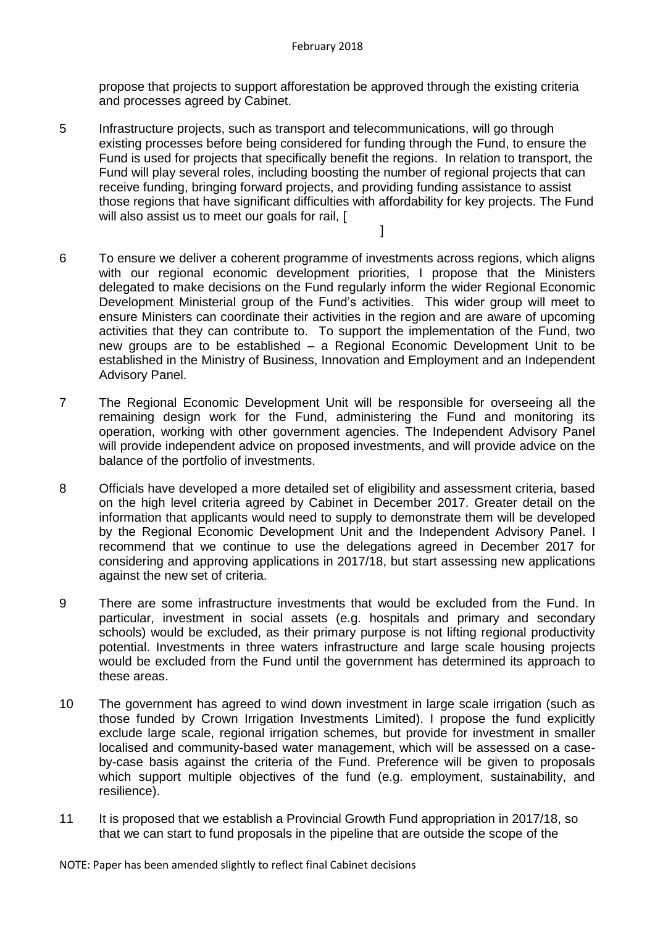propose that projects to support afforestation be approved through the existing criteria and processes agreed by Cabinet.

5 Infrastructure projects, such as transport and telecommunications, will go through existing processes before being considered for funding through the Fund, to ensure the Fund is used for projects that specifically benefit the regions. In relation to transport, the Fund will play several roles, including boosting the number of regional projects that can receive funding, bringing forward projects, and providing funding assistance to assist those regions that have significant difficulties with affordability for key projects. The Fund will also assist us to meet our goals for rail. [

 $\mathbb{R}^n$  , the contract of the contract of  $\mathbb{R}^n$  . The contract of  $\mathbb{R}^n$ 

- 6 To ensure we deliver a coherent programme of investments across regions, which aligns with our regional economic development priorities, I propose that the Ministers delegated to make decisions on the Fund regularly inform the wider Regional Economic Development Ministerial group of the Fund's activities. This wider group will meet to ensure Ministers can coordinate their activities in the region and are aware of upcoming activities that they can contribute to. To support the implementation of the Fund, two new groups are to be established – a Regional Economic Development Unit to be established in the Ministry of Business, Innovation and Employment and an Independent Advisory Panel.
- 7 The Regional Economic Development Unit will be responsible for overseeing all the remaining design work for the Fund, administering the Fund and monitoring its operation, working with other government agencies. The Independent Advisory Panel will provide independent advice on proposed investments, and will provide advice on the balance of the portfolio of investments.
- 8 Officials have developed a more detailed set of eligibility and assessment criteria, based on the high level criteria agreed by Cabinet in December 2017. Greater detail on the information that applicants would need to supply to demonstrate them will be developed by the Regional Economic Development Unit and the Independent Advisory Panel. I recommend that we continue to use the delegations agreed in December 2017 for considering and approving applications in 2017/18, but start assessing new applications against the new set of criteria.
- 9 There are some infrastructure investments that would be excluded from the Fund. In particular, investment in social assets (e.g. hospitals and primary and secondary schools) would be excluded, as their primary purpose is not lifting regional productivity potential. Investments in three waters infrastructure and large scale housing projects would be excluded from the Fund until the government has determined its approach to these areas.
- 10 The government has agreed to wind down investment in large scale irrigation (such as those funded by Crown Irrigation Investments Limited). I propose the fund explicitly exclude large scale, regional irrigation schemes, but provide for investment in smaller localised and community-based water management, which will be assessed on a caseby-case basis against the criteria of the Fund. Preference will be given to proposals which support multiple objectives of the fund (e.g. employment, sustainability, and resilience).
- 11 It is proposed that we establish a Provincial Growth Fund appropriation in 2017/18, so that we can start to fund proposals in the pipeline that are outside the scope of the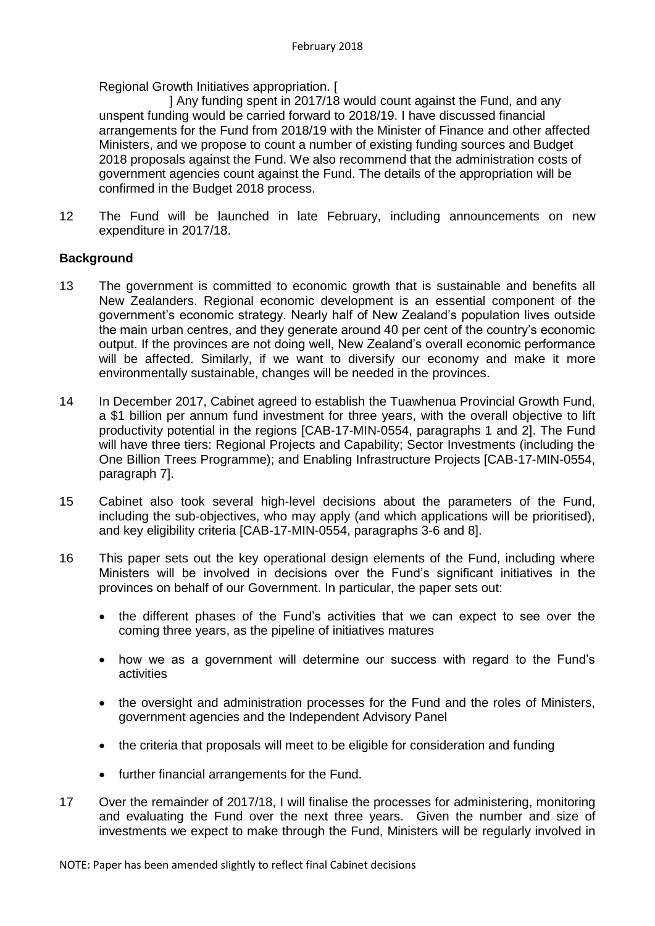Regional Growth Initiatives appropriation. [

 ] Any funding spent in 2017/18 would count against the Fund, and any unspent funding would be carried forward to 2018/19. I have discussed financial arrangements for the Fund from 2018/19 with the Minister of Finance and other affected Ministers, and we propose to count a number of existing funding sources and Budget 2018 proposals against the Fund. We also recommend that the administration costs of government agencies count against the Fund. The details of the appropriation will be confirmed in the Budget 2018 process.

12 The Fund will be launched in late February, including announcements on new expenditure in 2017/18.

### **Background**

- 13 The government is committed to economic growth that is sustainable and benefits all New Zealanders. Regional economic development is an essential component of the government's economic strategy. Nearly half of New Zealand's population lives outside the main urban centres, and they generate around 40 per cent of the country's economic output. If the provinces are not doing well, New Zealand's overall economic performance will be affected. Similarly, if we want to diversify our economy and make it more environmentally sustainable, changes will be needed in the provinces.
- 14 In December 2017, Cabinet agreed to establish the Tuawhenua Provincial Growth Fund, a \$1 billion per annum fund investment for three years, with the overall objective to lift productivity potential in the regions [CAB-17-MIN-0554, paragraphs 1 and 2]. The Fund will have three tiers: Regional Projects and Capability; Sector Investments (including the One Billion Trees Programme); and Enabling Infrastructure Projects [CAB-17-MIN-0554, paragraph 7].
- 15 Cabinet also took several high-level decisions about the parameters of the Fund, including the sub-objectives, who may apply (and which applications will be prioritised), and key eligibility criteria [CAB-17-MIN-0554, paragraphs 3-6 and 8].
- 16 This paper sets out the key operational design elements of the Fund, including where Ministers will be involved in decisions over the Fund's significant initiatives in the provinces on behalf of our Government. In particular, the paper sets out:
	- the different phases of the Fund's activities that we can expect to see over the coming three years, as the pipeline of initiatives matures
	- how we as a government will determine our success with regard to the Fund's activities
	- the oversight and administration processes for the Fund and the roles of Ministers, government agencies and the Independent Advisory Panel
	- the criteria that proposals will meet to be eligible for consideration and funding
	- further financial arrangements for the Fund.
- 17 Over the remainder of 2017/18, I will finalise the processes for administering, monitoring and evaluating the Fund over the next three years. Given the number and size of investments we expect to make through the Fund, Ministers will be regularly involved in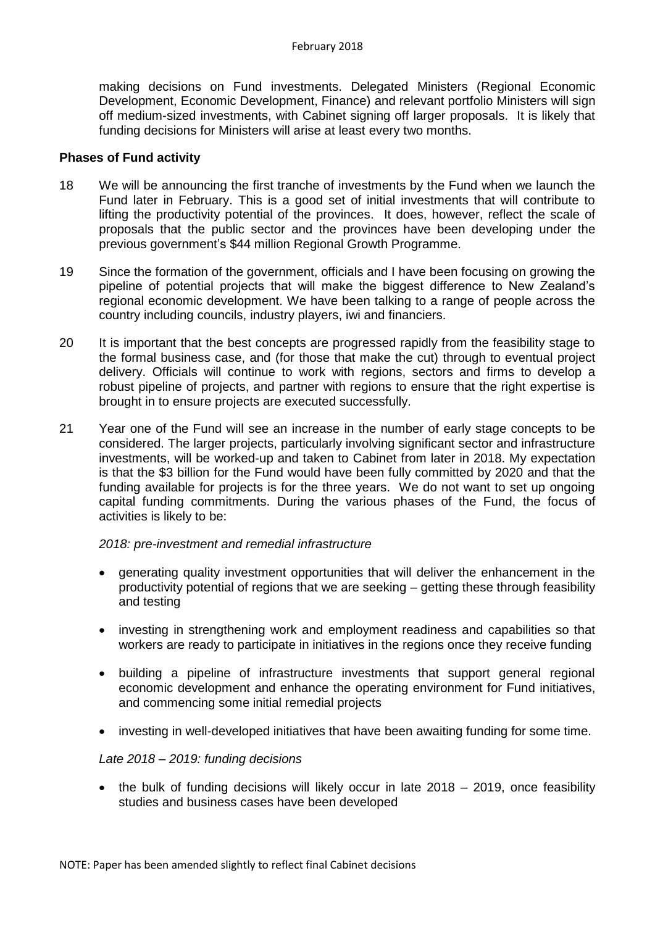making decisions on Fund investments. Delegated Ministers (Regional Economic Development, Economic Development, Finance) and relevant portfolio Ministers will sign off medium-sized investments, with Cabinet signing off larger proposals. It is likely that funding decisions for Ministers will arise at least every two months.

### **Phases of Fund activity**

- 18 We will be announcing the first tranche of investments by the Fund when we launch the Fund later in February. This is a good set of initial investments that will contribute to lifting the productivity potential of the provinces. It does, however, reflect the scale of proposals that the public sector and the provinces have been developing under the previous government's \$44 million Regional Growth Programme.
- 19 Since the formation of the government, officials and I have been focusing on growing the pipeline of potential projects that will make the biggest difference to New Zealand's regional economic development. We have been talking to a range of people across the country including councils, industry players, iwi and financiers.
- 20 It is important that the best concepts are progressed rapidly from the feasibility stage to the formal business case, and (for those that make the cut) through to eventual project delivery. Officials will continue to work with regions, sectors and firms to develop a robust pipeline of projects, and partner with regions to ensure that the right expertise is brought in to ensure projects are executed successfully.
- 21 Year one of the Fund will see an increase in the number of early stage concepts to be considered. The larger projects, particularly involving significant sector and infrastructure investments, will be worked-up and taken to Cabinet from later in 2018. My expectation is that the \$3 billion for the Fund would have been fully committed by 2020 and that the funding available for projects is for the three years. We do not want to set up ongoing capital funding commitments. During the various phases of the Fund, the focus of activities is likely to be:

### *2018: pre-investment and remedial infrastructure*

- generating quality investment opportunities that will deliver the enhancement in the productivity potential of regions that we are seeking – getting these through feasibility and testing
- investing in strengthening work and employment readiness and capabilities so that workers are ready to participate in initiatives in the regions once they receive funding
- building a pipeline of infrastructure investments that support general regional economic development and enhance the operating environment for Fund initiatives, and commencing some initial remedial projects
- investing in well-developed initiatives that have been awaiting funding for some time.

### *Late 2018 – 2019: funding decisions*

• the bulk of funding decisions will likely occur in late 2018 – 2019, once feasibility studies and business cases have been developed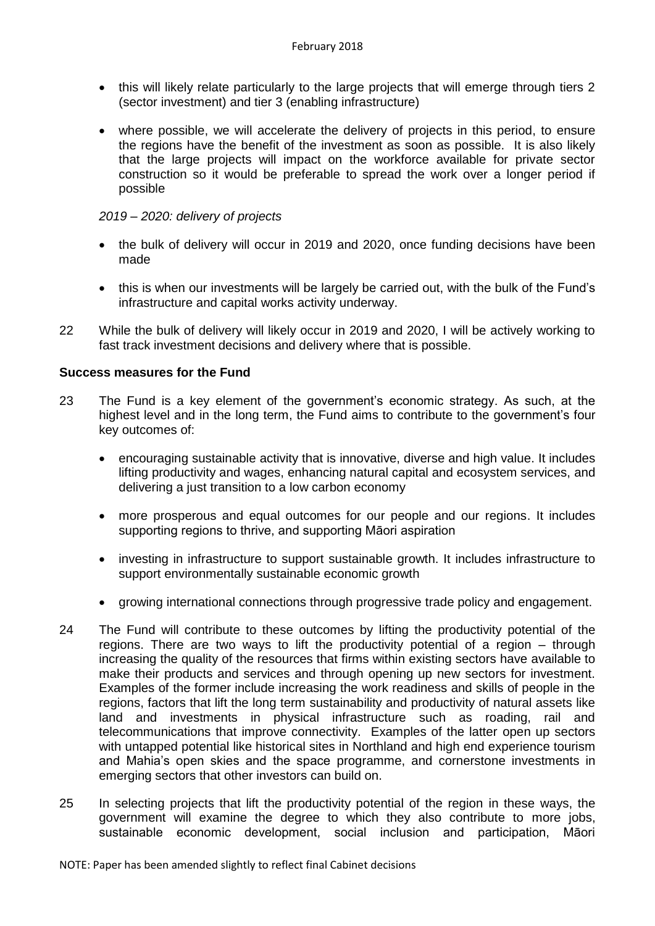- this will likely relate particularly to the large projects that will emerge through tiers 2 (sector investment) and tier 3 (enabling infrastructure)
- where possible, we will accelerate the delivery of projects in this period, to ensure the regions have the benefit of the investment as soon as possible. It is also likely that the large projects will impact on the workforce available for private sector construction so it would be preferable to spread the work over a longer period if possible

### *2019 – 2020: delivery of projects*

- the bulk of delivery will occur in 2019 and 2020, once funding decisions have been made
- this is when our investments will be largely be carried out, with the bulk of the Fund's infrastructure and capital works activity underway.
- 22 While the bulk of delivery will likely occur in 2019 and 2020, I will be actively working to fast track investment decisions and delivery where that is possible.

### **Success measures for the Fund**

- 23 The Fund is a key element of the government's economic strategy. As such, at the highest level and in the long term, the Fund aims to contribute to the government's four key outcomes of:
	- encouraging sustainable activity that is innovative, diverse and high value. It includes lifting productivity and wages, enhancing natural capital and ecosystem services, and delivering a just transition to a low carbon economy
	- more prosperous and equal outcomes for our people and our regions. It includes supporting regions to thrive, and supporting Māori aspiration
	- investing in infrastructure to support sustainable growth. It includes infrastructure to support environmentally sustainable economic growth
	- growing international connections through progressive trade policy and engagement.
- 24 The Fund will contribute to these outcomes by lifting the productivity potential of the regions. There are two ways to lift the productivity potential of a region – through increasing the quality of the resources that firms within existing sectors have available to make their products and services and through opening up new sectors for investment. Examples of the former include increasing the work readiness and skills of people in the regions, factors that lift the long term sustainability and productivity of natural assets like land and investments in physical infrastructure such as roading, rail and telecommunications that improve connectivity. Examples of the latter open up sectors with untapped potential like historical sites in Northland and high end experience tourism and Mahia's open skies and the space programme, and cornerstone investments in emerging sectors that other investors can build on.
- 25 In selecting projects that lift the productivity potential of the region in these ways, the government will examine the degree to which they also contribute to more jobs, sustainable economic development, social inclusion and participation, Māori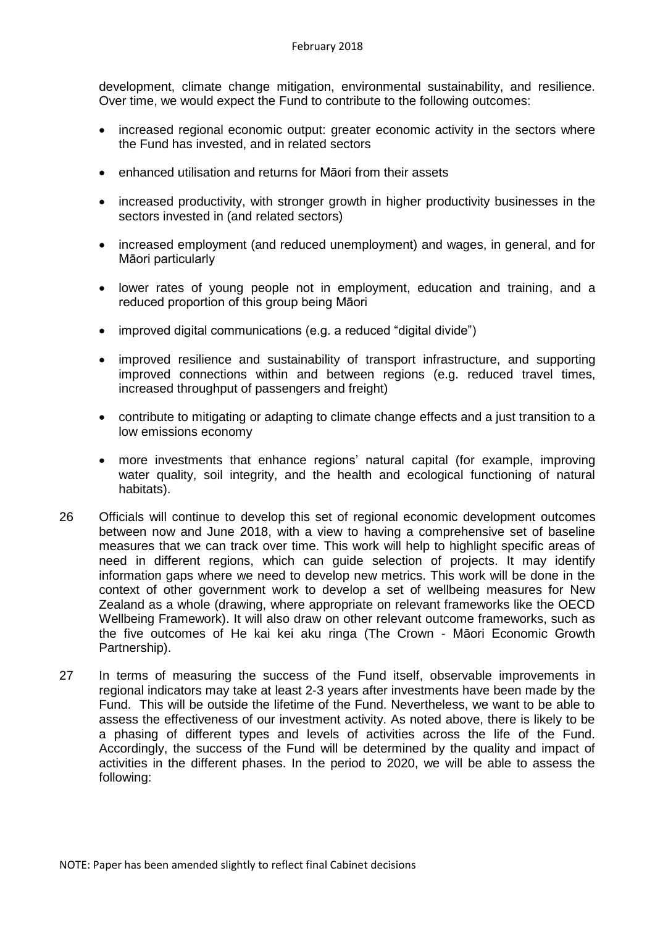development, climate change mitigation, environmental sustainability, and resilience. Over time, we would expect the Fund to contribute to the following outcomes:

- increased regional economic output: greater economic activity in the sectors where the Fund has invested, and in related sectors
- enhanced utilisation and returns for Māori from their assets
- increased productivity, with stronger growth in higher productivity businesses in the sectors invested in (and related sectors)
- increased employment (and reduced unemployment) and wages, in general, and for Māori particularly
- lower rates of young people not in employment, education and training, and a reduced proportion of this group being Māori
- improved digital communications (e.g. a reduced "digital divide")
- improved resilience and sustainability of transport infrastructure, and supporting improved connections within and between regions (e.g. reduced travel times, increased throughput of passengers and freight)
- contribute to mitigating or adapting to climate change effects and a just transition to a low emissions economy
- more investments that enhance regions' natural capital (for example, improving water quality, soil integrity, and the health and ecological functioning of natural habitats).
- 26 Officials will continue to develop this set of regional economic development outcomes between now and June 2018, with a view to having a comprehensive set of baseline measures that we can track over time. This work will help to highlight specific areas of need in different regions, which can guide selection of projects. It may identify information gaps where we need to develop new metrics. This work will be done in the context of other government work to develop a set of wellbeing measures for New Zealand as a whole (drawing, where appropriate on relevant frameworks like the OECD Wellbeing Framework). It will also draw on other relevant outcome frameworks, such as the five outcomes of He kai kei aku ringa (The Crown - Māori Economic Growth Partnership).
- 27 In terms of measuring the success of the Fund itself, observable improvements in regional indicators may take at least 2-3 years after investments have been made by the Fund. This will be outside the lifetime of the Fund. Nevertheless, we want to be able to assess the effectiveness of our investment activity. As noted above, there is likely to be a phasing of different types and levels of activities across the life of the Fund. Accordingly, the success of the Fund will be determined by the quality and impact of activities in the different phases. In the period to 2020, we will be able to assess the following: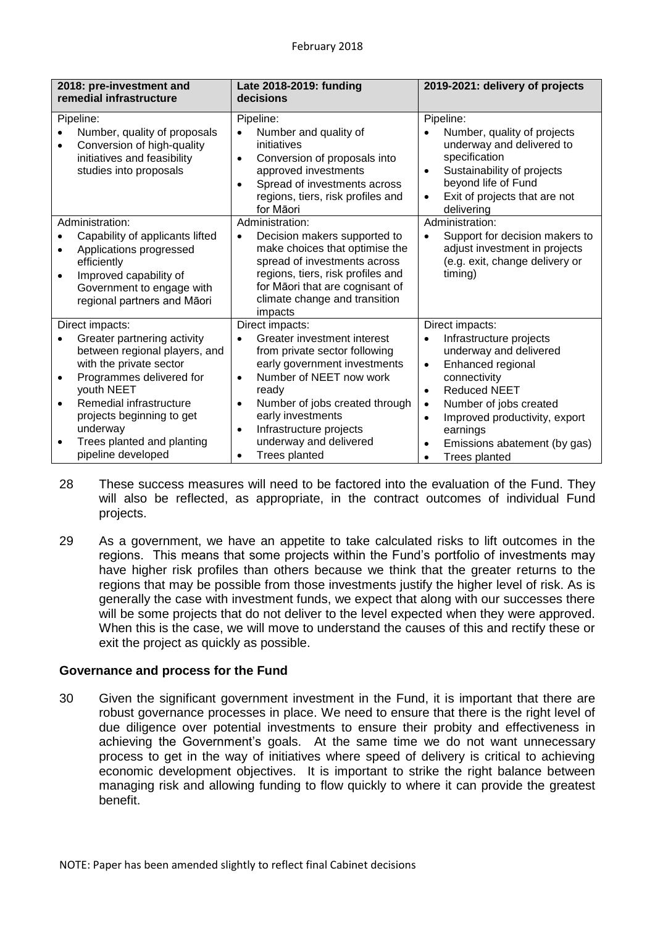| 2018: pre-investment and<br>remedial infrastructure                                                                                                                                                                                                                                       | Late 2018-2019: funding<br>decisions                                                                                                                                                                                                                                                                                                              | 2019-2021: delivery of projects                                                                                                                                                                                                                                                                                     |  |
|-------------------------------------------------------------------------------------------------------------------------------------------------------------------------------------------------------------------------------------------------------------------------------------------|---------------------------------------------------------------------------------------------------------------------------------------------------------------------------------------------------------------------------------------------------------------------------------------------------------------------------------------------------|---------------------------------------------------------------------------------------------------------------------------------------------------------------------------------------------------------------------------------------------------------------------------------------------------------------------|--|
| Pipeline:<br>Number, quality of proposals<br>Conversion of high-quality<br>$\bullet$<br>initiatives and feasibility<br>studies into proposals                                                                                                                                             | Pipeline:<br>Number and quality of<br>$\bullet$<br>initiatives<br>Conversion of proposals into<br>$\bullet$<br>approved investments<br>Spread of investments across<br>$\bullet$<br>regions, tiers, risk profiles and<br>for Māori                                                                                                                | Pipeline:<br>Number, quality of projects<br>underway and delivered to<br>specification<br>Sustainability of projects<br>$\bullet$<br>beyond life of Fund<br>Exit of projects that are not<br>$\bullet$<br>delivering                                                                                                |  |
| Administration:<br>Capability of applicants lifted<br>Applications progressed<br>$\bullet$<br>efficiently<br>Improved capability of<br>$\bullet$<br>Government to engage with<br>regional partners and Māori                                                                              | Administration:<br>Decision makers supported to<br>$\bullet$<br>make choices that optimise the<br>spread of investments across<br>regions, tiers, risk profiles and<br>for Māori that are cognisant of<br>climate change and transition<br>impacts                                                                                                | Administration:<br>Support for decision makers to<br>adjust investment in projects<br>(e.g. exit, change delivery or<br>timing)                                                                                                                                                                                     |  |
| Direct impacts:<br>Greater partnering activity<br>between regional players, and<br>with the private sector<br>Programmes delivered for<br>youth NEET<br>Remedial infrastructure<br>$\bullet$<br>projects beginning to get<br>underway<br>Trees planted and planting<br>pipeline developed | Direct impacts:<br>Greater investment interest<br>$\bullet$<br>from private sector following<br>early government investments<br>Number of NEET now work<br>$\bullet$<br>ready<br>Number of jobs created through<br>$\bullet$<br>early investments<br>Infrastructure projects<br>$\bullet$<br>underway and delivered<br>Trees planted<br>$\bullet$ | Direct impacts:<br>Infrastructure projects<br>underway and delivered<br>Enhanced regional<br>$\bullet$<br>connectivity<br><b>Reduced NEET</b><br>$\bullet$<br>Number of jobs created<br>$\bullet$<br>Improved productivity, export<br>$\bullet$<br>earnings<br>Emissions abatement (by gas)<br><b>Trees planted</b> |  |

- 28 These success measures will need to be factored into the evaluation of the Fund. They will also be reflected, as appropriate, in the contract outcomes of individual Fund projects.
- 29 As a government, we have an appetite to take calculated risks to lift outcomes in the regions. This means that some projects within the Fund's portfolio of investments may have higher risk profiles than others because we think that the greater returns to the regions that may be possible from those investments justify the higher level of risk. As is generally the case with investment funds, we expect that along with our successes there will be some projects that do not deliver to the level expected when they were approved. When this is the case, we will move to understand the causes of this and rectify these or exit the project as quickly as possible.

## **Governance and process for the Fund**

30 Given the significant government investment in the Fund, it is important that there are robust governance processes in place. We need to ensure that there is the right level of due diligence over potential investments to ensure their probity and effectiveness in achieving the Government's goals. At the same time we do not want unnecessary process to get in the way of initiatives where speed of delivery is critical to achieving economic development objectives. It is important to strike the right balance between managing risk and allowing funding to flow quickly to where it can provide the greatest benefit.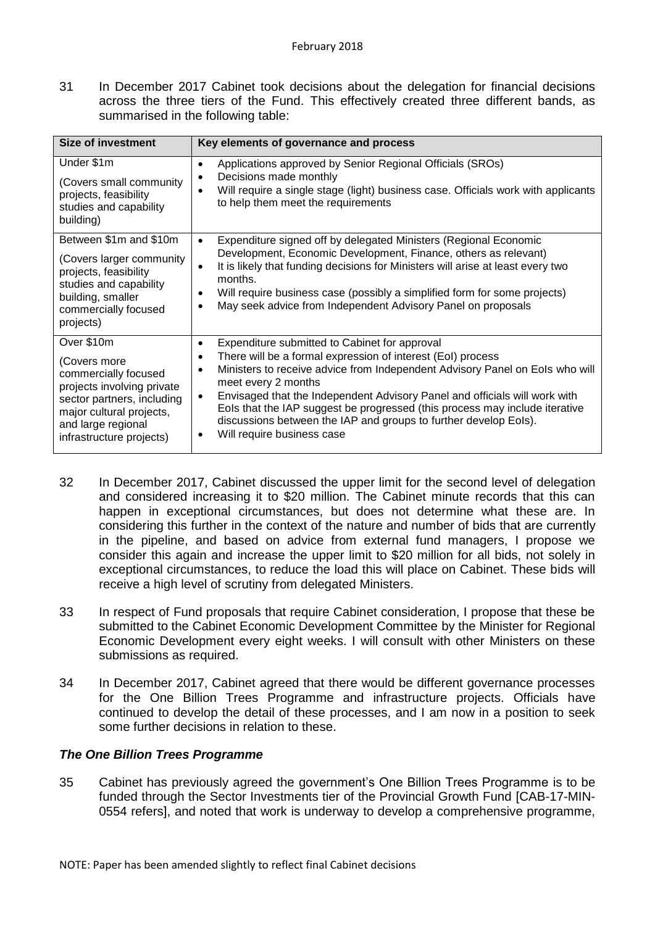31 In December 2017 Cabinet took decisions about the delegation for financial decisions across the three tiers of the Fund. This effectively created three different bands, as summarised in the following table:

| <b>Size of investment</b>                                                                                                                                                                    | Key elements of governance and process                                                                                                                                                                                                                                                                                                                                                                                                                                                                                                      |
|----------------------------------------------------------------------------------------------------------------------------------------------------------------------------------------------|---------------------------------------------------------------------------------------------------------------------------------------------------------------------------------------------------------------------------------------------------------------------------------------------------------------------------------------------------------------------------------------------------------------------------------------------------------------------------------------------------------------------------------------------|
| Under \$1m<br>(Covers small community<br>projects, feasibility<br>studies and capability<br>building)                                                                                        | Applications approved by Senior Regional Officials (SROs)<br>$\bullet$<br>Decisions made monthly<br>$\bullet$<br>Will require a single stage (light) business case. Officials work with applicants<br>to help them meet the requirements                                                                                                                                                                                                                                                                                                    |
| Between \$1m and \$10m<br>(Covers larger community<br>projects, feasibility<br>studies and capability<br>building, smaller<br>commercially focused<br>projects)                              | Expenditure signed off by delegated Ministers (Regional Economic<br>$\bullet$<br>Development, Economic Development, Finance, others as relevant)<br>It is likely that funding decisions for Ministers will arise at least every two<br>$\bullet$<br>months.<br>Will require business case (possibly a simplified form for some projects)<br>$\bullet$<br>May seek advice from Independent Advisory Panel on proposals                                                                                                                       |
| Over \$10m<br>(Covers more<br>commercially focused<br>projects involving private<br>sector partners, including<br>major cultural projects,<br>and large regional<br>infrastructure projects) | Expenditure submitted to Cabinet for approval<br>$\bullet$<br>There will be a formal expression of interest (EoI) process<br>$\bullet$<br>Ministers to receive advice from Independent Advisory Panel on Eols who will<br>$\bullet$<br>meet every 2 months<br>Envisaged that the Independent Advisory Panel and officials will work with<br>$\bullet$<br>Eols that the IAP suggest be progressed (this process may include iterative<br>discussions between the IAP and groups to further develop EoIs).<br>Will require business case<br>٠ |

- 32 In December 2017, Cabinet discussed the upper limit for the second level of delegation and considered increasing it to \$20 million. The Cabinet minute records that this can happen in exceptional circumstances, but does not determine what these are. In considering this further in the context of the nature and number of bids that are currently in the pipeline, and based on advice from external fund managers, I propose we consider this again and increase the upper limit to \$20 million for all bids, not solely in exceptional circumstances, to reduce the load this will place on Cabinet. These bids will receive a high level of scrutiny from delegated Ministers.
- 33 In respect of Fund proposals that require Cabinet consideration, I propose that these be submitted to the Cabinet Economic Development Committee by the Minister for Regional Economic Development every eight weeks. I will consult with other Ministers on these submissions as required.
- 34 In December 2017, Cabinet agreed that there would be different governance processes for the One Billion Trees Programme and infrastructure projects. Officials have continued to develop the detail of these processes, and I am now in a position to seek some further decisions in relation to these.

## *The One Billion Trees Programme*

35 Cabinet has previously agreed the government's One Billion Trees Programme is to be funded through the Sector Investments tier of the Provincial Growth Fund [CAB-17-MIN-0554 refers], and noted that work is underway to develop a comprehensive programme,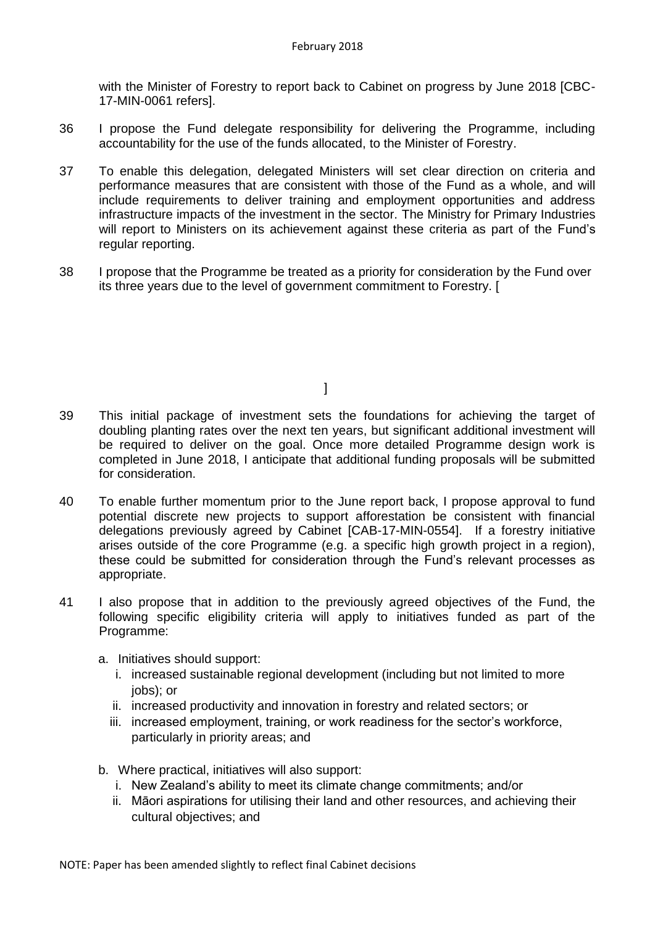with the Minister of Forestry to report back to Cabinet on progress by June 2018 [CBC-17-MIN-0061 refers].

- 36 I propose the Fund delegate responsibility for delivering the Programme, including accountability for the use of the funds allocated, to the Minister of Forestry.
- 37 To enable this delegation, delegated Ministers will set clear direction on criteria and performance measures that are consistent with those of the Fund as a whole, and will include requirements to deliver training and employment opportunities and address infrastructure impacts of the investment in the sector. The Ministry for Primary Industries will report to Ministers on its achievement against these criteria as part of the Fund's regular reporting.
- 38 I propose that the Programme be treated as a priority for consideration by the Fund over its three years due to the level of government commitment to Forestry. [

 $\mathbb{R}^n$  , the contract of the contract  $\mathbb{R}^n$ 

- 39 This initial package of investment sets the foundations for achieving the target of doubling planting rates over the next ten years, but significant additional investment will be required to deliver on the goal. Once more detailed Programme design work is completed in June 2018, I anticipate that additional funding proposals will be submitted for consideration.
- 40 To enable further momentum prior to the June report back, I propose approval to fund potential discrete new projects to support afforestation be consistent with financial delegations previously agreed by Cabinet [CAB-17-MIN-0554]. If a forestry initiative arises outside of the core Programme (e.g. a specific high growth project in a region), these could be submitted for consideration through the Fund's relevant processes as appropriate.
- 41 I also propose that in addition to the previously agreed objectives of the Fund, the following specific eligibility criteria will apply to initiatives funded as part of the Programme:
	- a. Initiatives should support:
		- i. increased sustainable regional development (including but not limited to more jobs); or
		- ii. increased productivity and innovation in forestry and related sectors; or
		- iii. increased employment, training, or work readiness for the sector's workforce, particularly in priority areas; and
	- b. Where practical, initiatives will also support:
		- i. New Zealand's ability to meet its climate change commitments; and/or
		- ii. Māori aspirations for utilising their land and other resources, and achieving their cultural objectives; and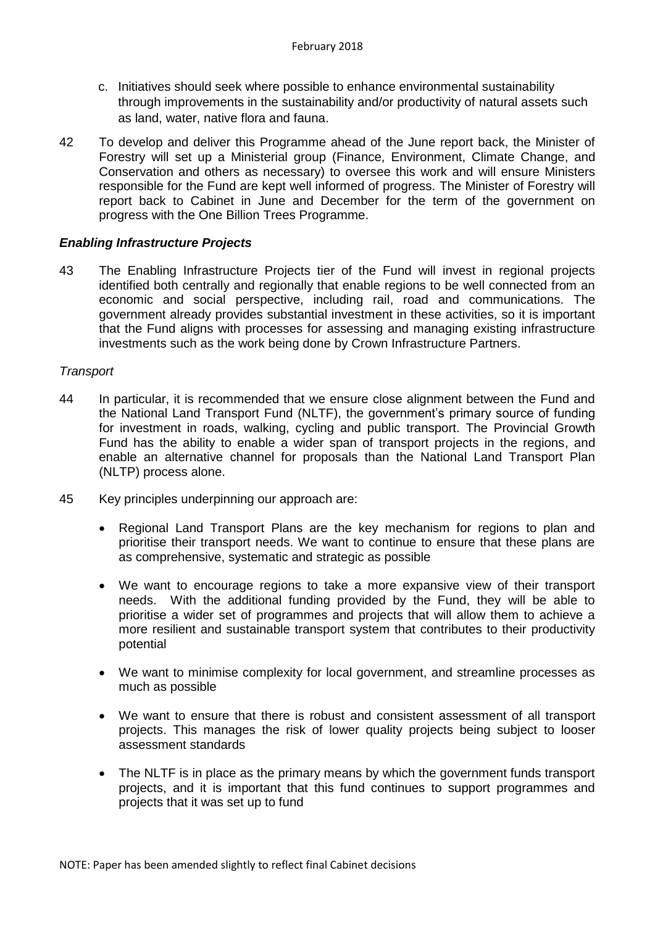- c. Initiatives should seek where possible to enhance environmental sustainability through improvements in the sustainability and/or productivity of natural assets such as land, water, native flora and fauna.
- 42 To develop and deliver this Programme ahead of the June report back, the Minister of Forestry will set up a Ministerial group (Finance, Environment, Climate Change, and Conservation and others as necessary) to oversee this work and will ensure Ministers responsible for the Fund are kept well informed of progress. The Minister of Forestry will report back to Cabinet in June and December for the term of the government on progress with the One Billion Trees Programme.

### *Enabling Infrastructure Projects*

43 The Enabling Infrastructure Projects tier of the Fund will invest in regional projects identified both centrally and regionally that enable regions to be well connected from an economic and social perspective, including rail, road and communications. The government already provides substantial investment in these activities, so it is important that the Fund aligns with processes for assessing and managing existing infrastructure investments such as the work being done by Crown Infrastructure Partners.

### *Transport*

- 44 In particular, it is recommended that we ensure close alignment between the Fund and the National Land Transport Fund (NLTF), the government's primary source of funding for investment in roads, walking, cycling and public transport. The Provincial Growth Fund has the ability to enable a wider span of transport projects in the regions, and enable an alternative channel for proposals than the National Land Transport Plan (NLTP) process alone.
- 45 Key principles underpinning our approach are:
	- Regional Land Transport Plans are the key mechanism for regions to plan and prioritise their transport needs. We want to continue to ensure that these plans are as comprehensive, systematic and strategic as possible
	- We want to encourage regions to take a more expansive view of their transport needs. With the additional funding provided by the Fund, they will be able to prioritise a wider set of programmes and projects that will allow them to achieve a more resilient and sustainable transport system that contributes to their productivity potential
	- We want to minimise complexity for local government, and streamline processes as much as possible
	- We want to ensure that there is robust and consistent assessment of all transport projects. This manages the risk of lower quality projects being subject to looser assessment standards
	- The NLTF is in place as the primary means by which the government funds transport projects, and it is important that this fund continues to support programmes and projects that it was set up to fund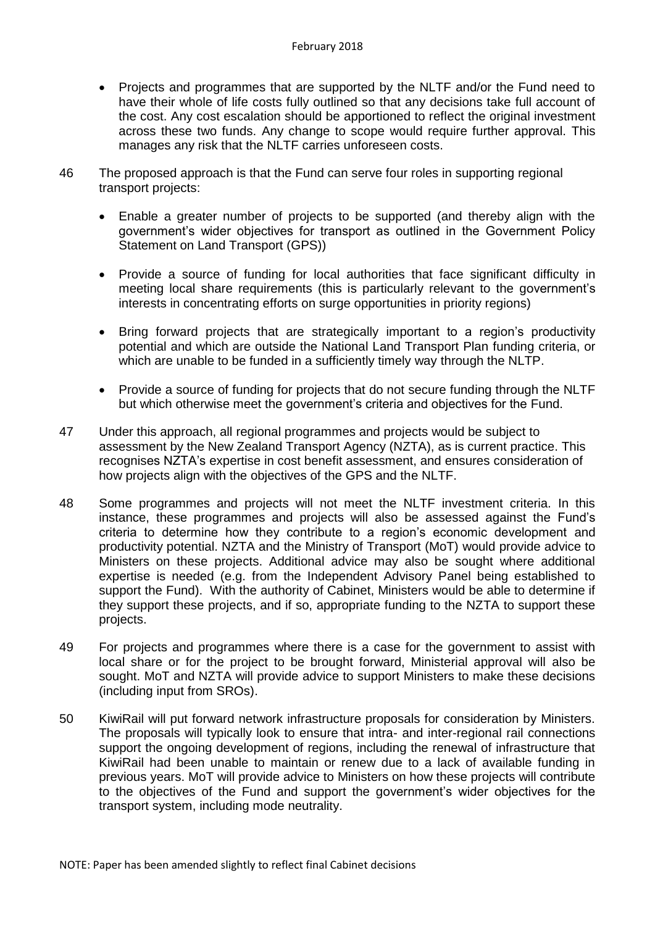- Projects and programmes that are supported by the NLTF and/or the Fund need to have their whole of life costs fully outlined so that any decisions take full account of the cost. Any cost escalation should be apportioned to reflect the original investment across these two funds. Any change to scope would require further approval. This manages any risk that the NLTF carries unforeseen costs.
- 46 The proposed approach is that the Fund can serve four roles in supporting regional transport projects:
	- Enable a greater number of projects to be supported (and thereby align with the government's wider objectives for transport as outlined in the Government Policy Statement on Land Transport (GPS))
	- Provide a source of funding for local authorities that face significant difficulty in meeting local share requirements (this is particularly relevant to the government's interests in concentrating efforts on surge opportunities in priority regions)
	- Bring forward projects that are strategically important to a region's productivity potential and which are outside the National Land Transport Plan funding criteria, or which are unable to be funded in a sufficiently timely way through the NLTP.
	- Provide a source of funding for projects that do not secure funding through the NLTF but which otherwise meet the government's criteria and objectives for the Fund.
- 47 Under this approach, all regional programmes and projects would be subject to assessment by the New Zealand Transport Agency (NZTA), as is current practice. This recognises NZTA's expertise in cost benefit assessment, and ensures consideration of how projects align with the objectives of the GPS and the NLTF.
- 48 Some programmes and projects will not meet the NLTF investment criteria. In this instance, these programmes and projects will also be assessed against the Fund's criteria to determine how they contribute to a region's economic development and productivity potential. NZTA and the Ministry of Transport (MoT) would provide advice to Ministers on these projects. Additional advice may also be sought where additional expertise is needed (e.g. from the Independent Advisory Panel being established to support the Fund). With the authority of Cabinet, Ministers would be able to determine if they support these projects, and if so, appropriate funding to the NZTA to support these projects.
- 49 For projects and programmes where there is a case for the government to assist with local share or for the project to be brought forward, Ministerial approval will also be sought. MoT and NZTA will provide advice to support Ministers to make these decisions (including input from SROs).
- 50 KiwiRail will put forward network infrastructure proposals for consideration by Ministers. The proposals will typically look to ensure that intra- and inter-regional rail connections support the ongoing development of regions, including the renewal of infrastructure that KiwiRail had been unable to maintain or renew due to a lack of available funding in previous years. MoT will provide advice to Ministers on how these projects will contribute to the objectives of the Fund and support the government's wider objectives for the transport system, including mode neutrality.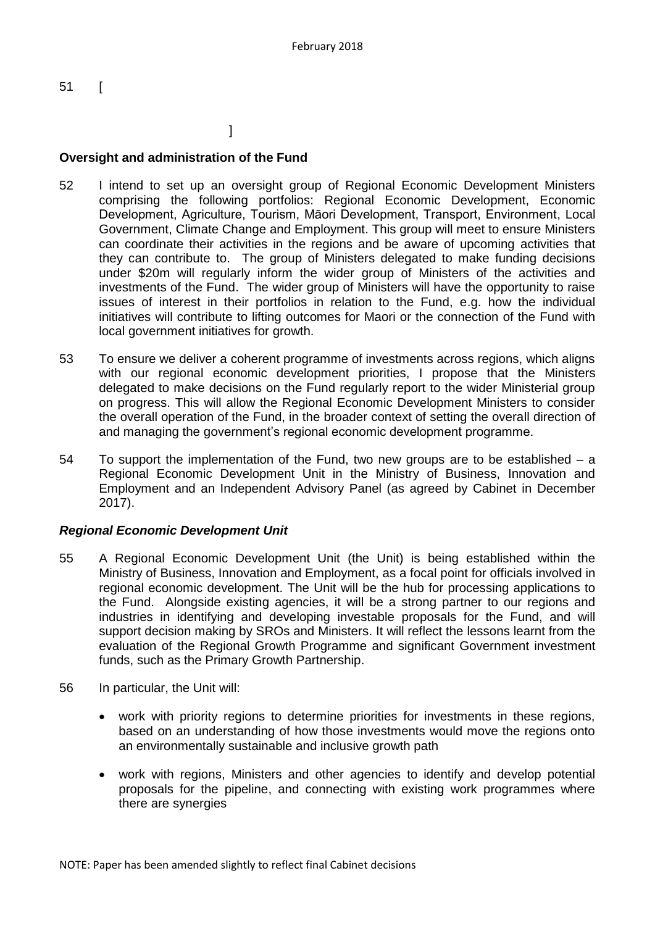51 [

# $\sim$  100  $\sim$  100  $\sim$  100  $\sim$  100  $\sim$  100  $\sim$  100  $\sim$  100  $\sim$  100  $\sim$  100  $\sim$  100  $\sim$  100  $\sim$  100  $\sim$  100  $\sim$  100  $\sim$  100  $\sim$  100  $\sim$  100  $\sim$  100  $\sim$  100  $\sim$  100  $\sim$  100  $\sim$  100  $\sim$  100  $\sim$  100  $\sim$

### **Oversight and administration of the Fund**

- 52 I intend to set up an oversight group of Regional Economic Development Ministers comprising the following portfolios: Regional Economic Development, Economic Development, Agriculture, Tourism, Māori Development, Transport, Environment, Local Government, Climate Change and Employment. This group will meet to ensure Ministers can coordinate their activities in the regions and be aware of upcoming activities that they can contribute to. The group of Ministers delegated to make funding decisions under \$20m will regularly inform the wider group of Ministers of the activities and investments of the Fund. The wider group of Ministers will have the opportunity to raise issues of interest in their portfolios in relation to the Fund, e.g. how the individual initiatives will contribute to lifting outcomes for Maori or the connection of the Fund with local government initiatives for growth.
- 53 To ensure we deliver a coherent programme of investments across regions, which aligns with our regional economic development priorities, I propose that the Ministers delegated to make decisions on the Fund regularly report to the wider Ministerial group on progress. This will allow the Regional Economic Development Ministers to consider the overall operation of the Fund, in the broader context of setting the overall direction of and managing the government's regional economic development programme.
- 54 To support the implementation of the Fund, two new groups are to be established a Regional Economic Development Unit in the Ministry of Business, Innovation and Employment and an Independent Advisory Panel (as agreed by Cabinet in December 2017).

### *Regional Economic Development Unit*

- 55 A Regional Economic Development Unit (the Unit) is being established within the Ministry of Business, Innovation and Employment, as a focal point for officials involved in regional economic development. The Unit will be the hub for processing applications to the Fund. Alongside existing agencies, it will be a strong partner to our regions and industries in identifying and developing investable proposals for the Fund, and will support decision making by SROs and Ministers. It will reflect the lessons learnt from the evaluation of the Regional Growth Programme and significant Government investment funds, such as the Primary Growth Partnership.
- 56 In particular, the Unit will:
	- work with priority regions to determine priorities for investments in these regions, based on an understanding of how those investments would move the regions onto an environmentally sustainable and inclusive growth path
	- work with regions, Ministers and other agencies to identify and develop potential proposals for the pipeline, and connecting with existing work programmes where there are synergies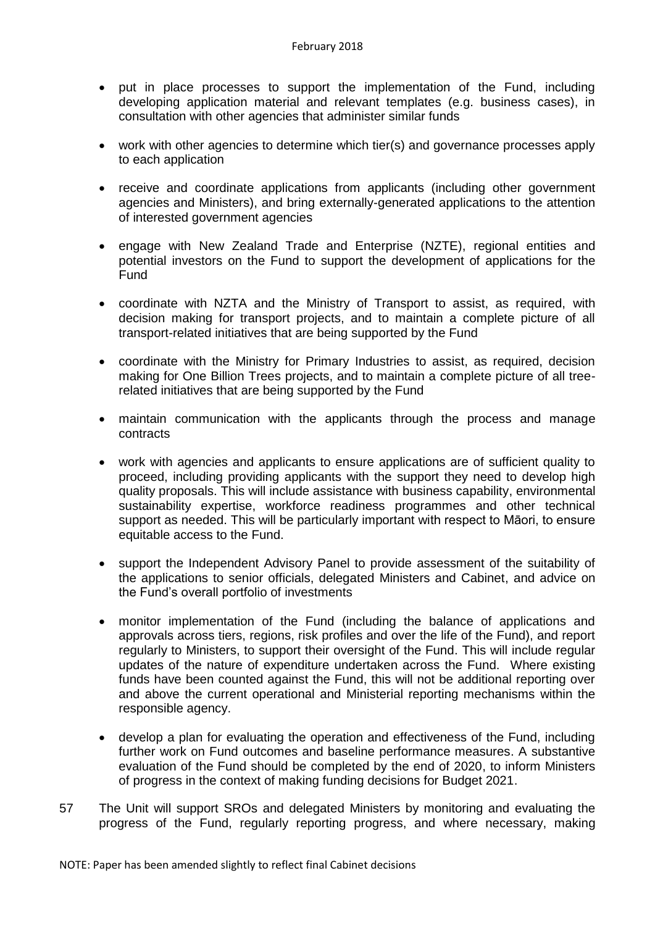- put in place processes to support the implementation of the Fund, including developing application material and relevant templates (e.g. business cases), in consultation with other agencies that administer similar funds
- work with other agencies to determine which tier(s) and governance processes apply to each application
- receive and coordinate applications from applicants (including other government agencies and Ministers), and bring externally-generated applications to the attention of interested government agencies
- engage with New Zealand Trade and Enterprise (NZTE), regional entities and potential investors on the Fund to support the development of applications for the Fund
- coordinate with NZTA and the Ministry of Transport to assist, as required, with decision making for transport projects, and to maintain a complete picture of all transport-related initiatives that are being supported by the Fund
- coordinate with the Ministry for Primary Industries to assist, as required, decision making for One Billion Trees projects, and to maintain a complete picture of all treerelated initiatives that are being supported by the Fund
- maintain communication with the applicants through the process and manage contracts
- work with agencies and applicants to ensure applications are of sufficient quality to proceed, including providing applicants with the support they need to develop high quality proposals. This will include assistance with business capability, environmental sustainability expertise, workforce readiness programmes and other technical support as needed. This will be particularly important with respect to Māori, to ensure equitable access to the Fund.
- support the Independent Advisory Panel to provide assessment of the suitability of the applications to senior officials, delegated Ministers and Cabinet, and advice on the Fund's overall portfolio of investments
- monitor implementation of the Fund (including the balance of applications and approvals across tiers, regions, risk profiles and over the life of the Fund), and report regularly to Ministers, to support their oversight of the Fund. This will include regular updates of the nature of expenditure undertaken across the Fund. Where existing funds have been counted against the Fund, this will not be additional reporting over and above the current operational and Ministerial reporting mechanisms within the responsible agency.
- develop a plan for evaluating the operation and effectiveness of the Fund, including further work on Fund outcomes and baseline performance measures. A substantive evaluation of the Fund should be completed by the end of 2020, to inform Ministers of progress in the context of making funding decisions for Budget 2021.
- 57 The Unit will support SROs and delegated Ministers by monitoring and evaluating the progress of the Fund, regularly reporting progress, and where necessary, making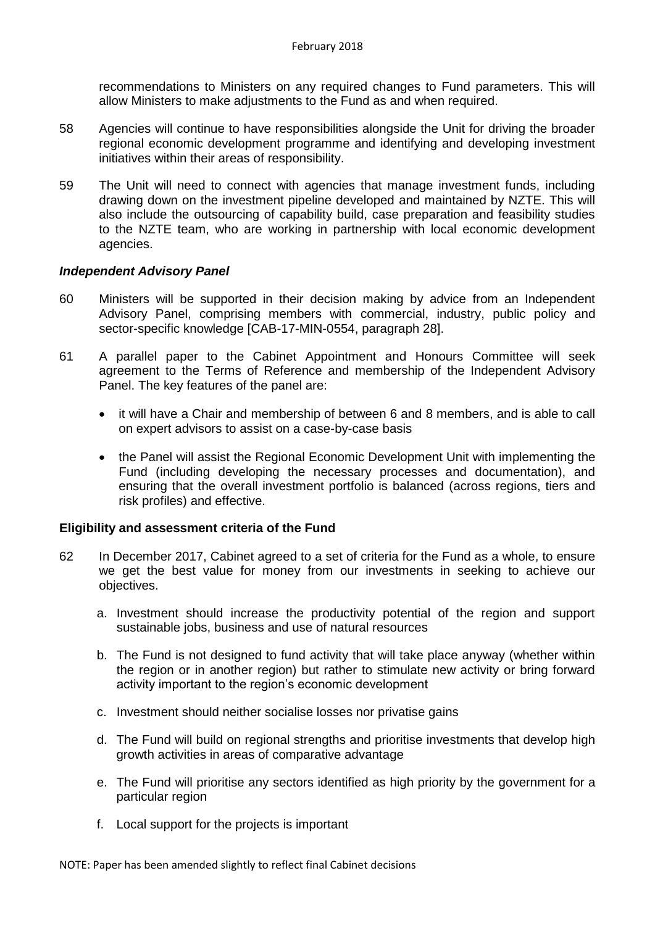recommendations to Ministers on any required changes to Fund parameters. This will allow Ministers to make adjustments to the Fund as and when required.

- 58 Agencies will continue to have responsibilities alongside the Unit for driving the broader regional economic development programme and identifying and developing investment initiatives within their areas of responsibility.
- 59 The Unit will need to connect with agencies that manage investment funds, including drawing down on the investment pipeline developed and maintained by NZTE. This will also include the outsourcing of capability build, case preparation and feasibility studies to the NZTE team, who are working in partnership with local economic development agencies.

### *Independent Advisory Panel*

- 60 Ministers will be supported in their decision making by advice from an Independent Advisory Panel, comprising members with commercial, industry, public policy and sector-specific knowledge [CAB-17-MIN-0554, paragraph 28].
- 61 A parallel paper to the Cabinet Appointment and Honours Committee will seek agreement to the Terms of Reference and membership of the Independent Advisory Panel. The key features of the panel are:
	- it will have a Chair and membership of between 6 and 8 members, and is able to call on expert advisors to assist on a case-by-case basis
	- the Panel will assist the Regional Economic Development Unit with implementing the Fund (including developing the necessary processes and documentation), and ensuring that the overall investment portfolio is balanced (across regions, tiers and risk profiles) and effective.

### **Eligibility and assessment criteria of the Fund**

- 62 In December 2017, Cabinet agreed to a set of criteria for the Fund as a whole, to ensure we get the best value for money from our investments in seeking to achieve our objectives.
	- a. Investment should increase the productivity potential of the region and support sustainable jobs, business and use of natural resources
	- b. The Fund is not designed to fund activity that will take place anyway (whether within the region or in another region) but rather to stimulate new activity or bring forward activity important to the region's economic development
	- c. Investment should neither socialise losses nor privatise gains
	- d. The Fund will build on regional strengths and prioritise investments that develop high growth activities in areas of comparative advantage
	- e. The Fund will prioritise any sectors identified as high priority by the government for a particular region
	- f. Local support for the projects is important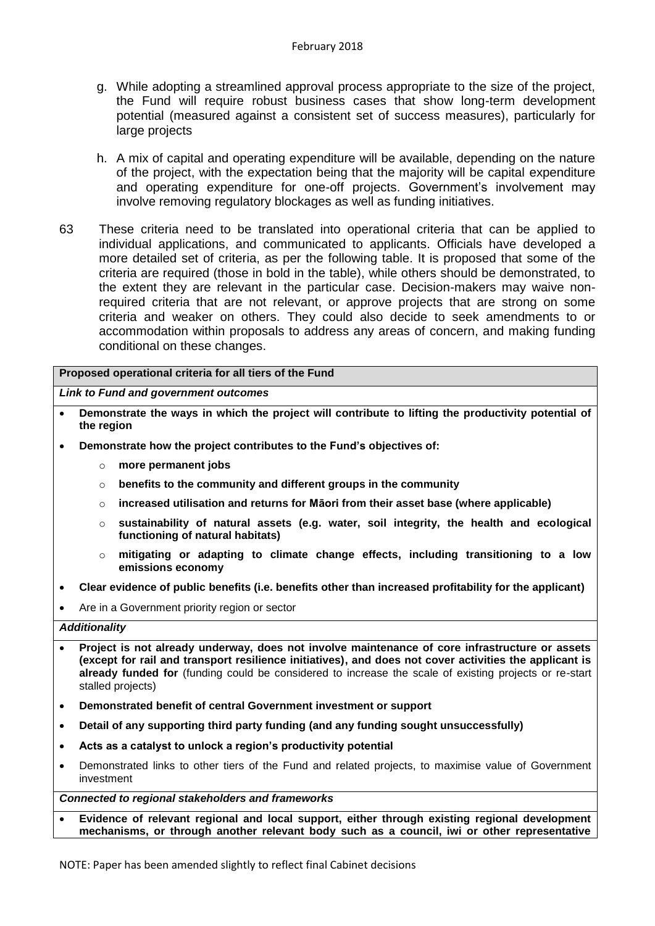- g. While adopting a streamlined approval process appropriate to the size of the project, the Fund will require robust business cases that show long-term development potential (measured against a consistent set of success measures), particularly for large projects
- h. A mix of capital and operating expenditure will be available, depending on the nature of the project, with the expectation being that the majority will be capital expenditure and operating expenditure for one-off projects. Government's involvement may involve removing regulatory blockages as well as funding initiatives.
- 63 These criteria need to be translated into operational criteria that can be applied to individual applications, and communicated to applicants. Officials have developed a more detailed set of criteria, as per the following table. It is proposed that some of the criteria are required (those in bold in the table), while others should be demonstrated, to the extent they are relevant in the particular case. Decision-makers may waive nonrequired criteria that are not relevant, or approve projects that are strong on some criteria and weaker on others. They could also decide to seek amendments to or accommodation within proposals to address any areas of concern, and making funding conditional on these changes.

**Proposed operational criteria for all tiers of the Fund**

*Link to Fund and government outcomes*

- **Demonstrate the ways in which the project will contribute to lifting the productivity potential of the region**
- **Demonstrate how the project contributes to the Fund's objectives of:**
	- more permanent jobs
	- o **benefits to the community and different groups in the community**
	- o **increased utilisation and returns for Māori from their asset base (where applicable)**
	- o **sustainability of natural assets (e.g. water, soil integrity, the health and ecological functioning of natural habitats)**
	- o **mitigating or adapting to climate change effects, including transitioning to a low emissions economy**
- **Clear evidence of public benefits (i.e. benefits other than increased profitability for the applicant)**
- Are in a Government priority region or sector

#### *Additionality*

- **Project is not already underway, does not involve maintenance of core infrastructure or assets (except for rail and transport resilience initiatives), and does not cover activities the applicant is already funded for** (funding could be considered to increase the scale of existing projects or re-start stalled projects)
- **Demonstrated benefit of central Government investment or support**
- **Detail of any supporting third party funding (and any funding sought unsuccessfully)**
- **Acts as a catalyst to unlock a region's productivity potential**
- Demonstrated links to other tiers of the Fund and related projects, to maximise value of Government investment

*Connected to regional stakeholders and frameworks*

 **Evidence of relevant regional and local support, either through existing regional development mechanisms, or through another relevant body such as a council, iwi or other representative**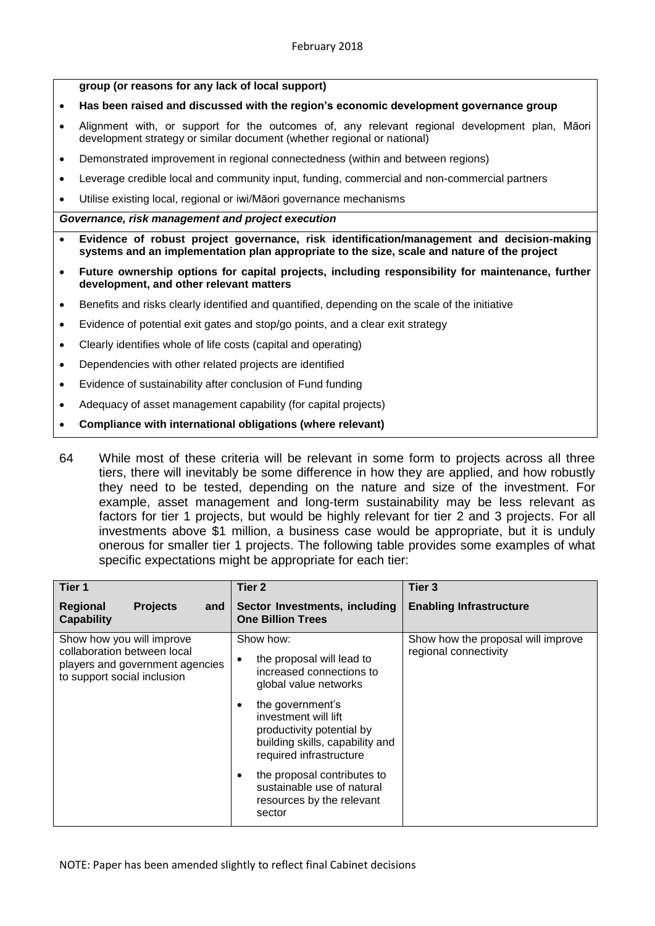**group (or reasons for any lack of local support)**

- **Has been raised and discussed with the region's economic development governance group**
- Alignment with, or support for the outcomes of, any relevant regional development plan, Māori development strategy or similar document (whether regional or national)
- Demonstrated improvement in regional connectedness (within and between regions)
- Leverage credible local and community input, funding, commercial and non-commercial partners
- Utilise existing local, regional or iwi/Māori governance mechanisms

#### *Governance, risk management and project execution*

- **Evidence of robust project governance, risk identification/management and decision-making systems and an implementation plan appropriate to the size, scale and nature of the project**
- **Future ownership options for capital projects, including responsibility for maintenance, further development, and other relevant matters**
- Benefits and risks clearly identified and quantified, depending on the scale of the initiative
- Evidence of potential exit gates and stop/go points, and a clear exit strategy
- Clearly identifies whole of life costs (capital and operating)
- Dependencies with other related projects are identified
- Evidence of sustainability after conclusion of Fund funding
- Adequacy of asset management capability (for capital projects)
- **Compliance with international obligations (where relevant)**
- 64 While most of these criteria will be relevant in some form to projects across all three tiers, there will inevitably be some difference in how they are applied, and how robustly they need to be tested, depending on the nature and size of the investment. For example, asset management and long-term sustainability may be less relevant as factors for tier 1 projects, but would be highly relevant for tier 2 and 3 projects. For all investments above \$1 million, a business case would be appropriate, but it is unduly onerous for smaller tier 1 projects. The following table provides some examples of what specific expectations might be appropriate for each tier:

| Tier 1                                                                                                                     | Tier <sub>2</sub>                                                                                                                        | Tier <sub>3</sub>                                           |
|----------------------------------------------------------------------------------------------------------------------------|------------------------------------------------------------------------------------------------------------------------------------------|-------------------------------------------------------------|
| <b>Regional</b><br><b>Projects</b><br>and<br><b>Capability</b>                                                             | Sector Investments, including<br><b>One Billion Trees</b>                                                                                | <b>Enabling Infrastructure</b>                              |
| Show how you will improve<br>collaboration between local<br>players and government agencies<br>to support social inclusion | Show how:<br>the proposal will lead to<br>٠<br>increased connections to<br>global value networks                                         | Show how the proposal will improve<br>regional connectivity |
|                                                                                                                            | the government's<br>٠<br>investment will lift<br>productivity potential by<br>building skills, capability and<br>required infrastructure |                                                             |
|                                                                                                                            | the proposal contributes to<br>٠<br>sustainable use of natural<br>resources by the relevant<br>sector                                    |                                                             |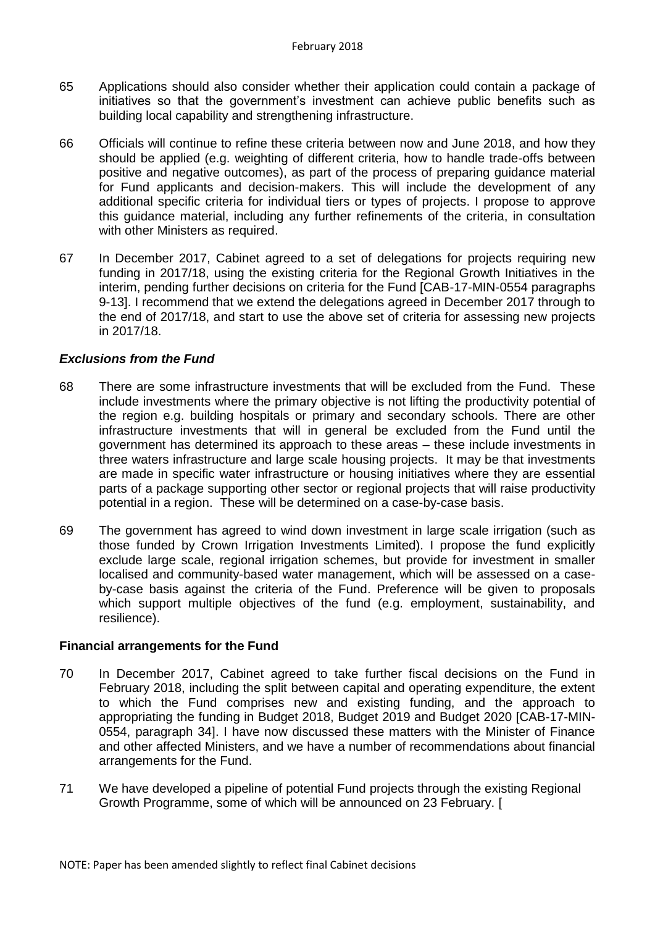- 65 Applications should also consider whether their application could contain a package of initiatives so that the government's investment can achieve public benefits such as building local capability and strengthening infrastructure.
- 66 Officials will continue to refine these criteria between now and June 2018, and how they should be applied (e.g. weighting of different criteria, how to handle trade-offs between positive and negative outcomes), as part of the process of preparing guidance material for Fund applicants and decision-makers. This will include the development of any additional specific criteria for individual tiers or types of projects. I propose to approve this guidance material, including any further refinements of the criteria, in consultation with other Ministers as required.
- 67 In December 2017, Cabinet agreed to a set of delegations for projects requiring new funding in 2017/18, using the existing criteria for the Regional Growth Initiatives in the interim, pending further decisions on criteria for the Fund [CAB-17-MIN-0554 paragraphs 9-13]. I recommend that we extend the delegations agreed in December 2017 through to the end of 2017/18, and start to use the above set of criteria for assessing new projects in 2017/18.

### *Exclusions from the Fund*

- 68 There are some infrastructure investments that will be excluded from the Fund. These include investments where the primary objective is not lifting the productivity potential of the region e.g. building hospitals or primary and secondary schools. There are other infrastructure investments that will in general be excluded from the Fund until the government has determined its approach to these areas – these include investments in three waters infrastructure and large scale housing projects. It may be that investments are made in specific water infrastructure or housing initiatives where they are essential parts of a package supporting other sector or regional projects that will raise productivity potential in a region. These will be determined on a case-by-case basis.
- 69 The government has agreed to wind down investment in large scale irrigation (such as those funded by Crown Irrigation Investments Limited). I propose the fund explicitly exclude large scale, regional irrigation schemes, but provide for investment in smaller localised and community-based water management, which will be assessed on a caseby-case basis against the criteria of the Fund. Preference will be given to proposals which support multiple objectives of the fund (e.g. employment, sustainability, and resilience).

### **Financial arrangements for the Fund**

- 70 In December 2017, Cabinet agreed to take further fiscal decisions on the Fund in February 2018, including the split between capital and operating expenditure, the extent to which the Fund comprises new and existing funding, and the approach to appropriating the funding in Budget 2018, Budget 2019 and Budget 2020 [CAB-17-MIN-0554, paragraph 34]. I have now discussed these matters with the Minister of Finance and other affected Ministers, and we have a number of recommendations about financial arrangements for the Fund.
- 71 We have developed a pipeline of potential Fund projects through the existing Regional Growth Programme, some of which will be announced on 23 February. [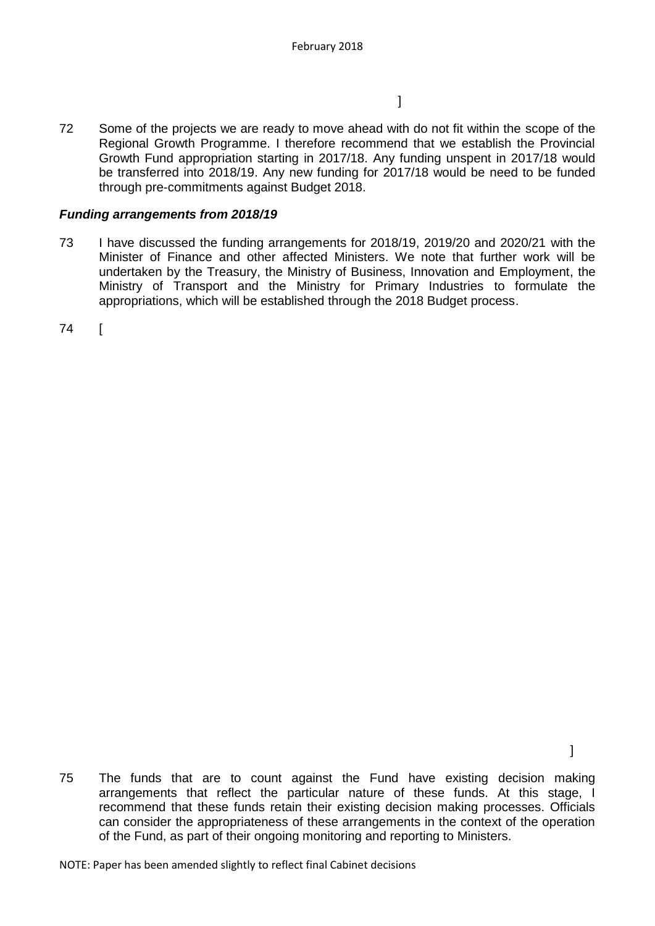$\mathbb{R}^n$  , the contract of the contract of the contract  $\mathbb{R}^n$ 

72 Some of the projects we are ready to move ahead with do not fit within the scope of the Regional Growth Programme. I therefore recommend that we establish the Provincial Growth Fund appropriation starting in 2017/18. Any funding unspent in 2017/18 would be transferred into 2018/19. Any new funding for 2017/18 would be need to be funded through pre-commitments against Budget 2018.

## *Funding arrangements from 2018/19*

73 I have discussed the funding arrangements for 2018/19, 2019/20 and 2020/21 with the Minister of Finance and other affected Ministers. We note that further work will be undertaken by the Treasury, the Ministry of Business, Innovation and Employment, the Ministry of Transport and the Ministry for Primary Industries to formulate the appropriations, which will be established through the 2018 Budget process.

74 [

75 The funds that are to count against the Fund have existing decision making arrangements that reflect the particular nature of these funds. At this stage, I recommend that these funds retain their existing decision making processes. Officials can consider the appropriateness of these arrangements in the context of the operation of the Fund, as part of their ongoing monitoring and reporting to Ministers.

NOTE: Paper has been amended slightly to reflect final Cabinet decisions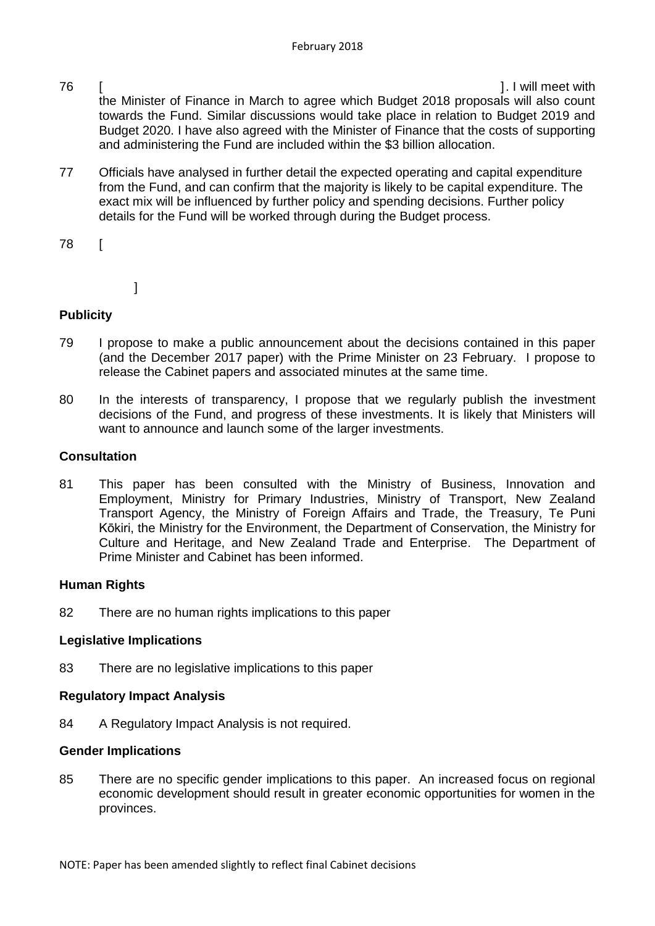- 76 [ ]. I will meet with the Minister of Finance in March to agree which Budget 2018 proposals will also count towards the Fund. Similar discussions would take place in relation to Budget 2019 and Budget 2020. I have also agreed with the Minister of Finance that the costs of supporting and administering the Fund are included within the \$3 billion allocation.
- 77 Officials have analysed in further detail the expected operating and capital expenditure from the Fund, and can confirm that the majority is likely to be capital expenditure. The exact mix will be influenced by further policy and spending decisions. Further policy details for the Fund will be worked through during the Budget process.
- 78 [
- ]

## **Publicity**

- 79 I propose to make a public announcement about the decisions contained in this paper (and the December 2017 paper) with the Prime Minister on 23 February. I propose to release the Cabinet papers and associated minutes at the same time.
- 80 In the interests of transparency, I propose that we regularly publish the investment decisions of the Fund, and progress of these investments. It is likely that Ministers will want to announce and launch some of the larger investments.

## **Consultation**

81 This paper has been consulted with the Ministry of Business, Innovation and Employment, Ministry for Primary Industries, Ministry of Transport, New Zealand Transport Agency, the Ministry of Foreign Affairs and Trade, the Treasury, [Te Puni](http://www.tpk.govt.nz/en/mo-te-puni-kokiri/who-we-are/our-people/executive-team)  [Kōkiri,](http://www.tpk.govt.nz/en/mo-te-puni-kokiri/who-we-are/our-people/executive-team) the Ministry for the Environment, the Department of Conservation, the Ministry for Culture and Heritage, and New Zealand Trade and Enterprise. The Department of Prime Minister and Cabinet has been informed.

## **Human Rights**

82 There are no human rights implications to this paper

## **Legislative Implications**

83 There are no legislative implications to this paper

### **Regulatory Impact Analysis**

84 A Regulatory Impact Analysis is not required.

### **Gender Implications**

85 There are no specific gender implications to this paper. An increased focus on regional economic development should result in greater economic opportunities for women in the provinces.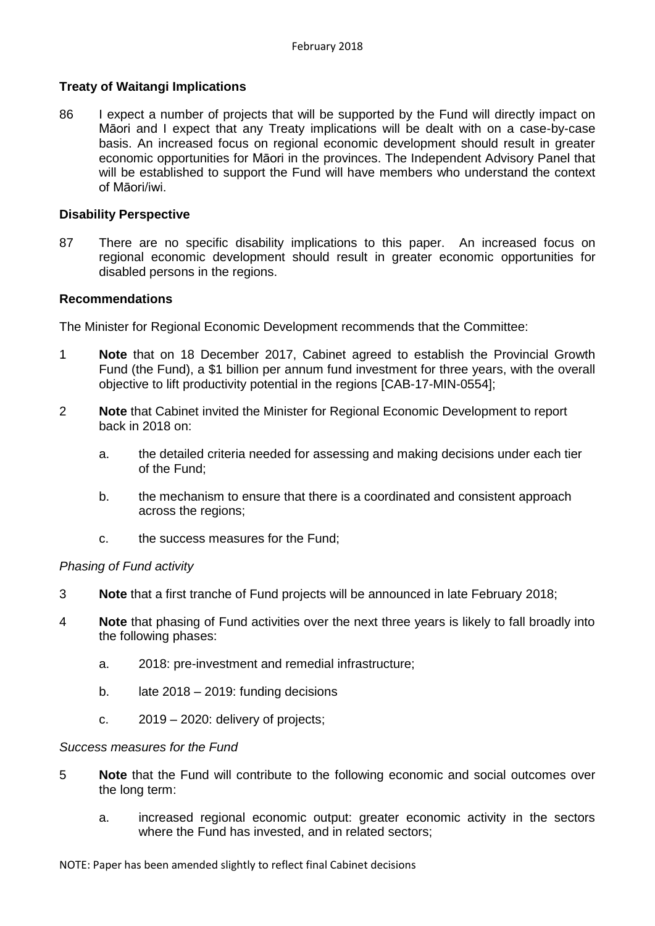### **Treaty of Waitangi Implications**

86 I expect a number of projects that will be supported by the Fund will directly impact on Māori and I expect that any Treaty implications will be dealt with on a case-by-case basis. An increased focus on regional economic development should result in greater economic opportunities for Māori in the provinces. The Independent Advisory Panel that will be established to support the Fund will have members who understand the context of Māori/iwi.

### **Disability Perspective**

87 There are no specific disability implications to this paper. An increased focus on regional economic development should result in greater economic opportunities for disabled persons in the regions.

### **Recommendations**

The Minister for Regional Economic Development recommends that the Committee:

- 1 **Note** that on 18 December 2017, Cabinet agreed to establish the Provincial Growth Fund (the Fund), a \$1 billion per annum fund investment for three years, with the overall objective to lift productivity potential in the regions [CAB-17-MIN-0554];
- 2 **Note** that Cabinet invited the Minister for Regional Economic Development to report back in 2018 on:
	- a. the detailed criteria needed for assessing and making decisions under each tier of the Fund;
	- b. the mechanism to ensure that there is a coordinated and consistent approach across the regions;
	- c. the success measures for the Fund;

### *Phasing of Fund activity*

- 3 **Note** that a first tranche of Fund projects will be announced in late February 2018;
- 4 **Note** that phasing of Fund activities over the next three years is likely to fall broadly into the following phases:
	- a. 2018: pre-investment and remedial infrastructure;
	- b. late 2018 2019: funding decisions
	- c. 2019 2020: delivery of projects;

### *Success measures for the Fund*

- 5 **Note** that the Fund will contribute to the following economic and social outcomes over the long term:
	- a. increased regional economic output: greater economic activity in the sectors where the Fund has invested, and in related sectors;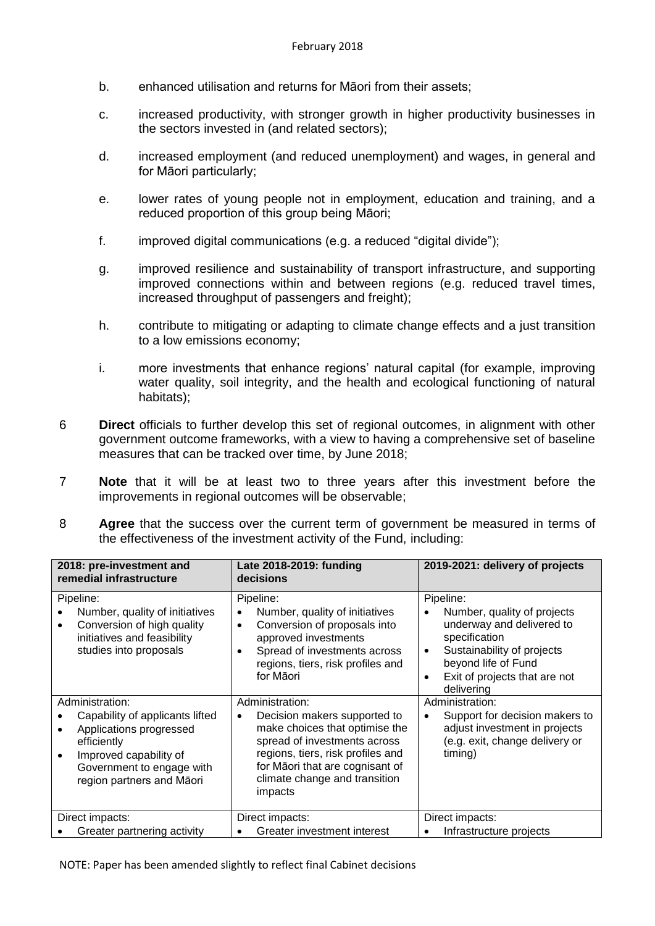- b. enhanced utilisation and returns for Māori from their assets;
- c. increased productivity, with stronger growth in higher productivity businesses in the sectors invested in (and related sectors);
- d. increased employment (and reduced unemployment) and wages, in general and for Māori particularly;
- e. lower rates of young people not in employment, education and training, and a reduced proportion of this group being Māori;
- f. improved digital communications (e.g. a reduced "digital divide");
- g. improved resilience and sustainability of transport infrastructure, and supporting improved connections within and between regions (e.g. reduced travel times, increased throughput of passengers and freight);
- h. contribute to mitigating or adapting to climate change effects and a just transition to a low emissions economy;
- i. more investments that enhance regions' natural capital (for example, improving water quality, soil integrity, and the health and ecological functioning of natural habitats);
- 6 **Direct** officials to further develop this set of regional outcomes, in alignment with other government outcome frameworks, with a view to having a comprehensive set of baseline measures that can be tracked over time, by June 2018;
- 7 **Note** that it will be at least two to three years after this investment before the improvements in regional outcomes will be observable;
- 8 **Agree** that the success over the current term of government be measured in terms of the effectiveness of the investment activity of the Fund, including:

| 2018: pre-investment and<br>remedial infrastructure                                                                                                                              | Late 2018-2019: funding<br>decisions                                                                                                                                                                                                               | 2019-2021: delivery of projects                                                                                                                                                                                      |  |
|----------------------------------------------------------------------------------------------------------------------------------------------------------------------------------|----------------------------------------------------------------------------------------------------------------------------------------------------------------------------------------------------------------------------------------------------|----------------------------------------------------------------------------------------------------------------------------------------------------------------------------------------------------------------------|--|
| Pipeline:<br>Number, quality of initiatives<br>Conversion of high quality<br>$\bullet$<br>initiatives and feasibility<br>studies into proposals                                  | Pipeline:<br>Number, quality of initiatives<br>Conversion of proposals into<br>$\bullet$<br>approved investments<br>Spread of investments across<br>$\bullet$<br>regions, tiers, risk profiles and<br>for Māori                                    | Pipeline:<br>Number, quality of projects<br>underway and delivered to<br>specification<br>Sustainability of projects<br>$\bullet$<br>beyond life of Fund<br>Exit of projects that are not<br>$\bullet$<br>delivering |  |
| Administration:<br>Capability of applicants lifted<br>Applications progressed<br>efficiently<br>Improved capability of<br>Government to engage with<br>region partners and Māori | Administration:<br>Decision makers supported to<br>$\bullet$<br>make choices that optimise the<br>spread of investments across<br>regions, tiers, risk profiles and<br>for Māori that are cognisant of<br>climate change and transition<br>impacts | Administration:<br>Support for decision makers to<br>adjust investment in projects<br>(e.g. exit, change delivery or<br>timing)                                                                                      |  |
| Direct impacts:<br>Greater partnering activity                                                                                                                                   | Direct impacts:<br>Greater investment interest                                                                                                                                                                                                     | Direct impacts:<br>Infrastructure projects                                                                                                                                                                           |  |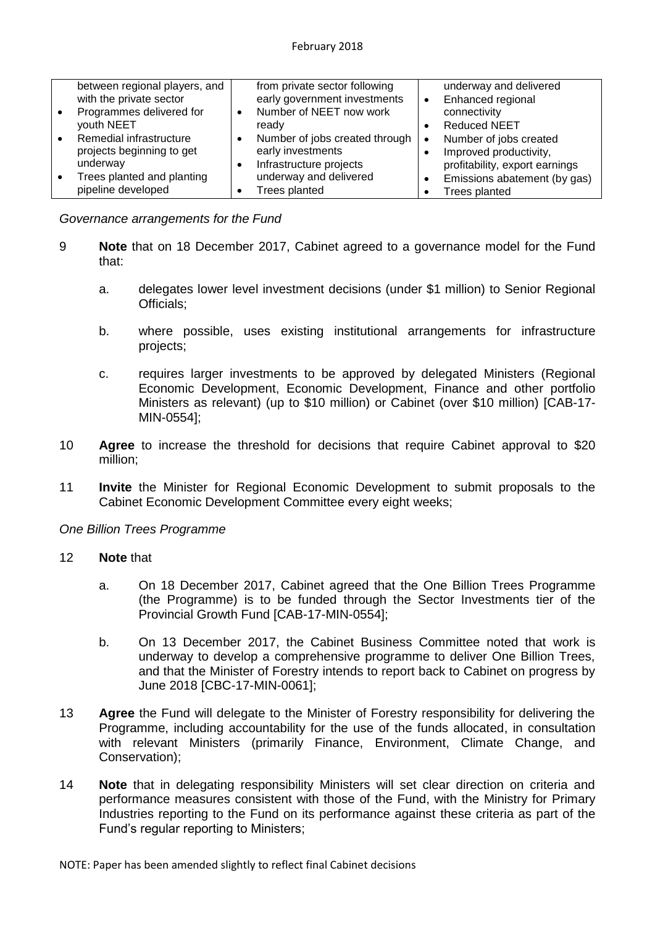|           | between regional players, and |           | from private sector following  | underway and delivered         |
|-----------|-------------------------------|-----------|--------------------------------|--------------------------------|
|           | with the private sector       |           | early government investments   | Enhanced regional              |
| $\bullet$ | Programmes delivered for      | $\bullet$ | Number of NEET now work        | connectivity                   |
|           | youth NEET                    |           | ready                          | <b>Reduced NEET</b>            |
| $\bullet$ | Remedial infrastructure       |           | Number of jobs created through | Number of jobs created         |
|           | projects beginning to get     |           | early investments              | Improved productivity,         |
|           | underway                      |           | Infrastructure projects        | profitability, export earnings |
| $\bullet$ | Trees planted and planting    |           | underway and delivered         | Emissions abatement (by gas)   |
|           | pipeline developed            |           | <b>Trees planted</b>           | <b>Trees planted</b>           |

*Governance arrangements for the Fund*

- 9 **Note** that on 18 December 2017, Cabinet agreed to a governance model for the Fund that:
	- a. delegates lower level investment decisions (under \$1 million) to Senior Regional Officials;
	- b. where possible, uses existing institutional arrangements for infrastructure projects;
	- c. requires larger investments to be approved by delegated Ministers (Regional Economic Development, Economic Development, Finance and other portfolio Ministers as relevant) (up to \$10 million) or Cabinet (over \$10 million) [CAB-17- MIN-0554];
- 10 **Agree** to increase the threshold for decisions that require Cabinet approval to \$20 million;
- 11 **Invite** the Minister for Regional Economic Development to submit proposals to the Cabinet Economic Development Committee every eight weeks;

### *One Billion Trees Programme*

#### 12 **Note** that

- a. On 18 December 2017, Cabinet agreed that the One Billion Trees Programme (the Programme) is to be funded through the Sector Investments tier of the Provincial Growth Fund [CAB-17-MIN-0554];
- b. On 13 December 2017, the Cabinet Business Committee noted that work is underway to develop a comprehensive programme to deliver One Billion Trees, and that the Minister of Forestry intends to report back to Cabinet on progress by June 2018 [CBC-17-MIN-0061];
- 13 **Agree** the Fund will delegate to the Minister of Forestry responsibility for delivering the Programme, including accountability for the use of the funds allocated, in consultation with relevant Ministers (primarily Finance, Environment, Climate Change, and Conservation);
- 14 **Note** that in delegating responsibility Ministers will set clear direction on criteria and performance measures consistent with those of the Fund, with the Ministry for Primary Industries reporting to the Fund on its performance against these criteria as part of the Fund's regular reporting to Ministers;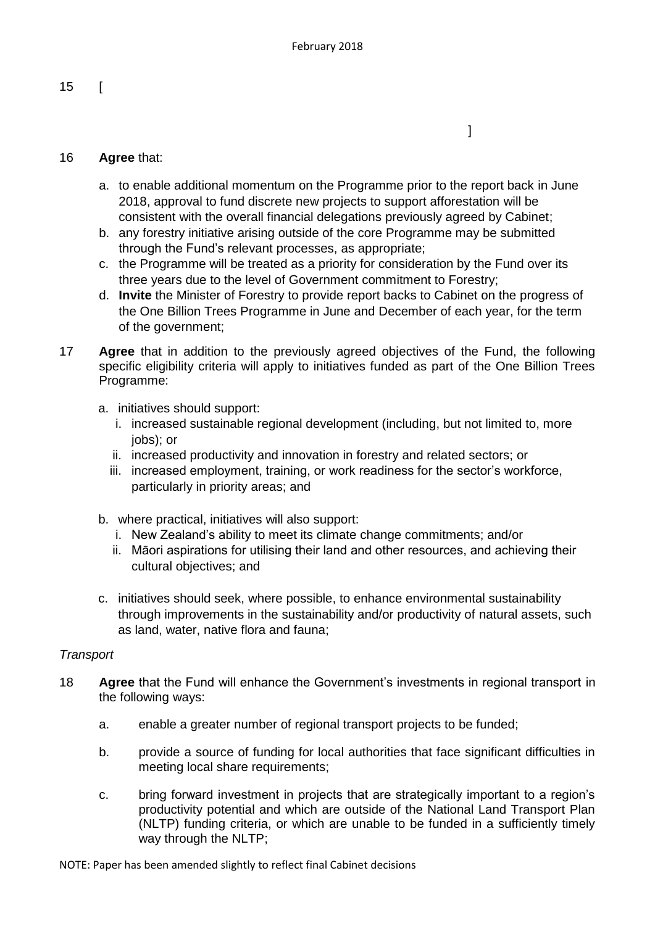$\mathbb{R}^n$  , the contract of the contract of the contract of  $\mathbb{R}^n$ 

15 [

### 16 **Agree** that:

- a. to enable additional momentum on the Programme prior to the report back in June 2018, approval to fund discrete new projects to support afforestation will be consistent with the overall financial delegations previously agreed by Cabinet;
- b. any forestry initiative arising outside of the core Programme may be submitted through the Fund's relevant processes, as appropriate;
- c. the Programme will be treated as a priority for consideration by the Fund over its three years due to the level of Government commitment to Forestry;
- d. **Invite** the Minister of Forestry to provide report backs to Cabinet on the progress of the One Billion Trees Programme in June and December of each year, for the term of the government;
- 17 **Agree** that in addition to the previously agreed objectives of the Fund, the following specific eligibility criteria will apply to initiatives funded as part of the One Billion Trees Programme:
	- a. initiatives should support:
		- i. increased sustainable regional development (including, but not limited to, more iobs); or
		- ii. increased productivity and innovation in forestry and related sectors; or
		- iii. increased employment, training, or work readiness for the sector's workforce, particularly in priority areas; and
	- b. where practical, initiatives will also support:
		- i. New Zealand's ability to meet its climate change commitments; and/or
		- ii. Māori aspirations for utilising their land and other resources, and achieving their cultural objectives; and
	- c. initiatives should seek, where possible, to enhance environmental sustainability through improvements in the sustainability and/or productivity of natural assets, such as land, water, native flora and fauna;

### *Transport*

- 18 **Agree** that the Fund will enhance the Government's investments in regional transport in the following ways:
	- a. enable a greater number of regional transport projects to be funded;
	- b. provide a source of funding for local authorities that face significant difficulties in meeting local share requirements;
	- c. bring forward investment in projects that are strategically important to a region's productivity potential and which are outside of the National Land Transport Plan (NLTP) funding criteria, or which are unable to be funded in a sufficiently timely way through the NLTP;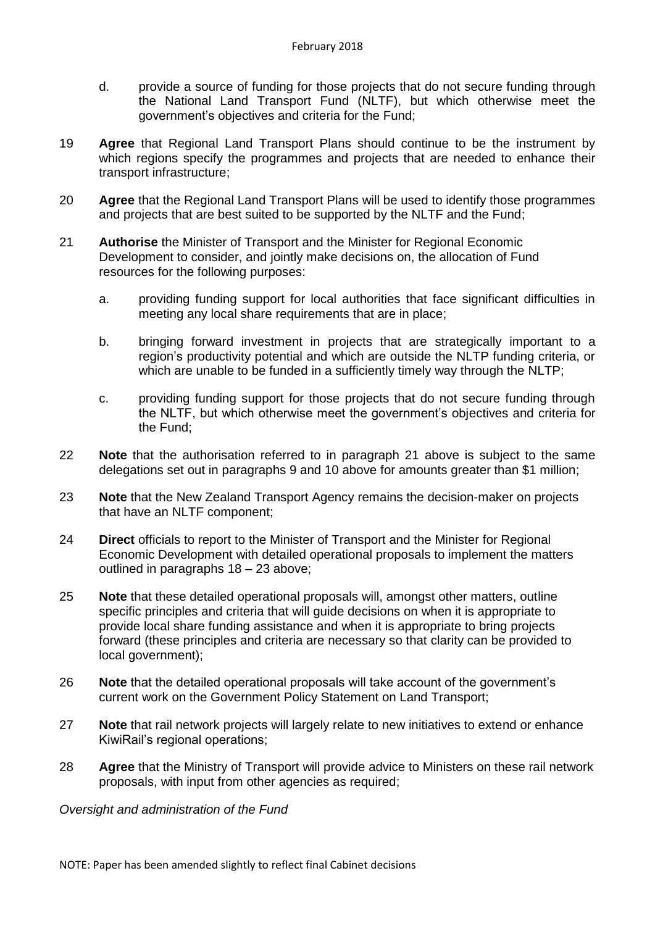- d. provide a source of funding for those projects that do not secure funding through the National Land Transport Fund (NLTF), but which otherwise meet the government's objectives and criteria for the Fund;
- 19 **Agree** that Regional Land Transport Plans should continue to be the instrument by which regions specify the programmes and projects that are needed to enhance their transport infrastructure;
- 20 **Agree** that the Regional Land Transport Plans will be used to identify those programmes and projects that are best suited to be supported by the NLTF and the Fund;
- 21 **Authorise** the Minister of Transport and the Minister for Regional Economic Development to consider, and jointly make decisions on, the allocation of Fund resources for the following purposes:
	- a. providing funding support for local authorities that face significant difficulties in meeting any local share requirements that are in place;
	- b. bringing forward investment in projects that are strategically important to a region's productivity potential and which are outside the NLTP funding criteria, or which are unable to be funded in a sufficiently timely way through the NLTP;
	- c. providing funding support for those projects that do not secure funding through the NLTF, but which otherwise meet the government's objectives and criteria for the Fund;
- 22 **Note** that the authorisation referred to in paragraph 21 above is subject to the same delegations set out in paragraphs 9 and 10 above for amounts greater than \$1 million;
- 23 **Note** that the New Zealand Transport Agency remains the decision-maker on projects that have an NLTF component;
- 24 **Direct** officials to report to the Minister of Transport and the Minister for Regional Economic Development with detailed operational proposals to implement the matters outlined in paragraphs 18 – 23 above;
- 25 **Note** that these detailed operational proposals will, amongst other matters, outline specific principles and criteria that will guide decisions on when it is appropriate to provide local share funding assistance and when it is appropriate to bring projects forward (these principles and criteria are necessary so that clarity can be provided to local government);
- 26 **Note** that the detailed operational proposals will take account of the government's current work on the Government Policy Statement on Land Transport;
- 27 **Note** that rail network projects will largely relate to new initiatives to extend or enhance KiwiRail's regional operations;
- 28 **Agree** that the Ministry of Transport will provide advice to Ministers on these rail network proposals, with input from other agencies as required;

*Oversight and administration of the Fund*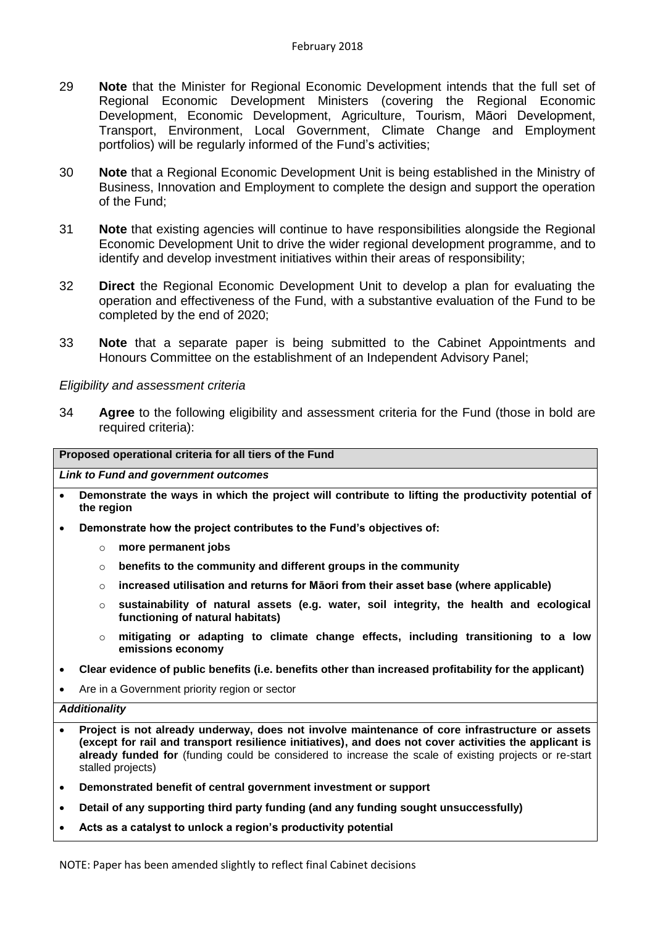- 29 **Note** that the Minister for Regional Economic Development intends that the full set of Regional Economic Development Ministers (covering the Regional Economic Development, Economic Development, Agriculture, Tourism, Māori Development, Transport, Environment, Local Government, Climate Change and Employment portfolios) will be regularly informed of the Fund's activities;
- 30 **Note** that a Regional Economic Development Unit is being established in the Ministry of Business, Innovation and Employment to complete the design and support the operation of the Fund;
- 31 **Note** that existing agencies will continue to have responsibilities alongside the Regional Economic Development Unit to drive the wider regional development programme, and to identify and develop investment initiatives within their areas of responsibility;
- 32 **Direct** the Regional Economic Development Unit to develop a plan for evaluating the operation and effectiveness of the Fund, with a substantive evaluation of the Fund to be completed by the end of 2020;
- 33 **Note** that a separate paper is being submitted to the Cabinet Appointments and Honours Committee on the establishment of an Independent Advisory Panel;

#### *Eligibility and assessment criteria*

34 **Agree** to the following eligibility and assessment criteria for the Fund (those in bold are required criteria):

#### **Proposed operational criteria for all tiers of the Fund**

*Link to Fund and government outcomes*

- **Demonstrate the ways in which the project will contribute to lifting the productivity potential of the region**
- **Demonstrate how the project contributes to the Fund's objectives of:**
	- o **more permanent jobs**
	- o **benefits to the community and different groups in the community**
	- o **increased utilisation and returns for Māori from their asset base (where applicable)**
	- o **sustainability of natural assets (e.g. water, soil integrity, the health and ecological functioning of natural habitats)**
	- o **mitigating or adapting to climate change effects, including transitioning to a low emissions economy**
- **Clear evidence of public benefits (i.e. benefits other than increased profitability for the applicant)**
- Are in a Government priority region or sector

#### *Additionality*

- **Project is not already underway, does not involve maintenance of core infrastructure or assets (except for rail and transport resilience initiatives), and does not cover activities the applicant is already funded for** (funding could be considered to increase the scale of existing projects or re-start stalled projects)
- **Demonstrated benefit of central government investment or support**
- **Detail of any supporting third party funding (and any funding sought unsuccessfully)**
- **Acts as a catalyst to unlock a region's productivity potential**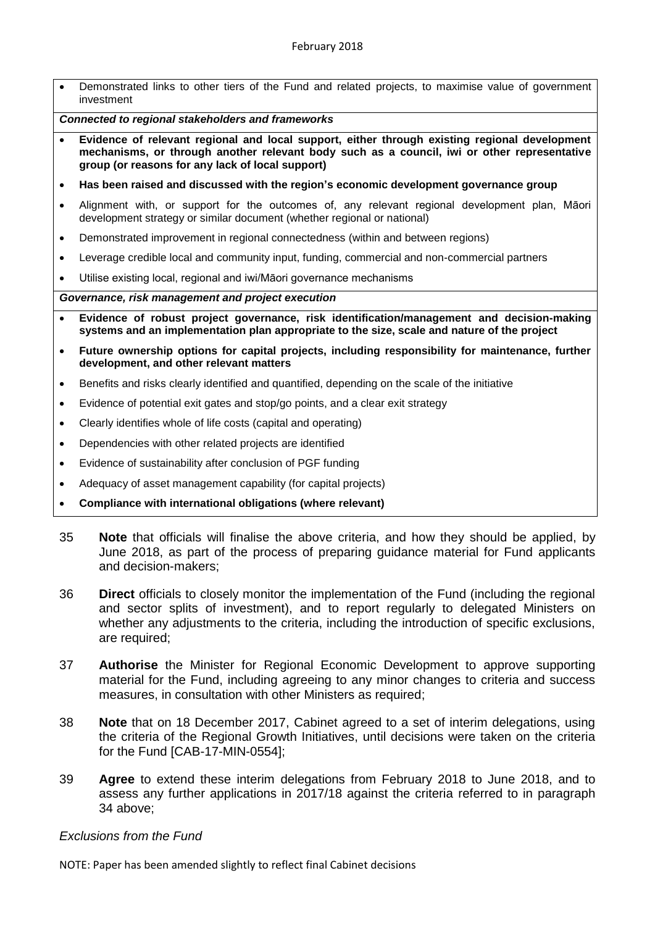- Demonstrated links to other tiers of the Fund and related projects, to maximise value of government investment *Connected to regional stakeholders and frameworks* **Evidence of relevant regional and local support, either through existing regional development mechanisms, or through another relevant body such as a council, iwi or other representative group (or reasons for any lack of local support) Has been raised and discussed with the region's economic development governance group** Alignment with, or support for the outcomes of, any relevant regional development plan, Māori development strategy or similar document (whether regional or national) Demonstrated improvement in regional connectedness (within and between regions) Leverage credible local and community input, funding, commercial and non-commercial partners Utilise existing local, regional and iwi/Māori governance mechanisms *Governance, risk management and project execution* **Evidence of robust project governance, risk identification/management and decision-making systems and an implementation plan appropriate to the size, scale and nature of the project Future ownership options for capital projects, including responsibility for maintenance, further development, and other relevant matters** Benefits and risks clearly identified and quantified, depending on the scale of the initiative Evidence of potential exit gates and stop/go points, and a clear exit strategy Clearly identifies whole of life costs (capital and operating) Dependencies with other related projects are identified
- Evidence of sustainability after conclusion of PGF funding
- Adequacy of asset management capability (for capital projects)
- **Compliance with international obligations (where relevant)**
- 35 **Note** that officials will finalise the above criteria, and how they should be applied, by June 2018, as part of the process of preparing guidance material for Fund applicants and decision-makers;
- 36 **Direct** officials to closely monitor the implementation of the Fund (including the regional and sector splits of investment), and to report regularly to delegated Ministers on whether any adjustments to the criteria, including the introduction of specific exclusions, are required;
- 37 **Authorise** the Minister for Regional Economic Development to approve supporting material for the Fund, including agreeing to any minor changes to criteria and success measures, in consultation with other Ministers as required;
- 38 **Note** that on 18 December 2017, Cabinet agreed to a set of interim delegations, using the criteria of the Regional Growth Initiatives, until decisions were taken on the criteria for the Fund [CAB-17-MIN-0554];
- 39 **Agree** to extend these interim delegations from February 2018 to June 2018, and to assess any further applications in 2017/18 against the criteria referred to in paragraph 34 above;

### *Exclusions from the Fund*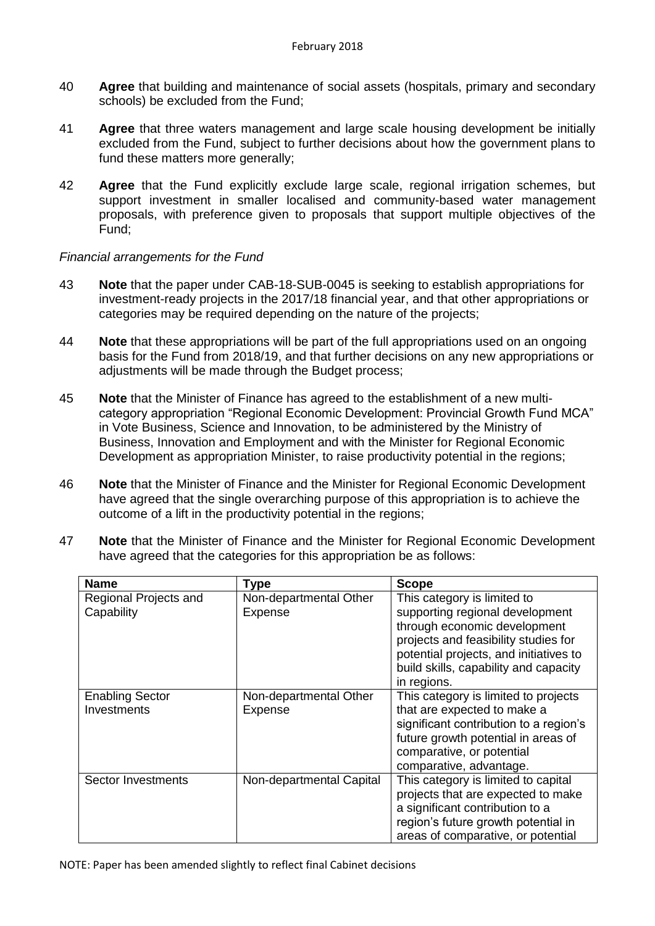- 40 **Agree** that building and maintenance of social assets (hospitals, primary and secondary schools) be excluded from the Fund;
- 41 **Agree** that three waters management and large scale housing development be initially excluded from the Fund, subject to further decisions about how the government plans to fund these matters more generally;
- 42 **Agree** that the Fund explicitly exclude large scale, regional irrigation schemes, but support investment in smaller localised and community-based water management proposals, with preference given to proposals that support multiple objectives of the Fund;

### *Financial arrangements for the Fund*

- 43 **Note** that the paper under CAB-18-SUB-0045 is seeking to establish appropriations for investment-ready projects in the 2017/18 financial year, and that other appropriations or categories may be required depending on the nature of the projects;
- 44 **Note** that these appropriations will be part of the full appropriations used on an ongoing basis for the Fund from 2018/19, and that further decisions on any new appropriations or adjustments will be made through the Budget process;
- 45 **Note** that the Minister of Finance has agreed to the establishment of a new multicategory appropriation "Regional Economic Development: Provincial Growth Fund MCA" in Vote Business, Science and Innovation, to be administered by the Ministry of Business, Innovation and Employment and with the Minister for Regional Economic Development as appropriation Minister, to raise productivity potential in the regions;
- 46 **Note** that the Minister of Finance and the Minister for Regional Economic Development have agreed that the single overarching purpose of this appropriation is to achieve the outcome of a lift in the productivity potential in the regions;
- 47 **Note** that the Minister of Finance and the Minister for Regional Economic Development have agreed that the categories for this appropriation be as follows:

| <b>Name</b>                         | <b>Type</b>                              | <b>Scope</b>                                                                                                                                                           |
|-------------------------------------|------------------------------------------|------------------------------------------------------------------------------------------------------------------------------------------------------------------------|
| Regional Projects and<br>Capability | Non-departmental Other<br><b>Expense</b> | This category is limited to<br>supporting regional development                                                                                                         |
|                                     |                                          | through economic development<br>projects and feasibility studies for<br>potential projects, and initiatives to<br>build skills, capability and capacity<br>in regions. |
| <b>Enabling Sector</b>              | Non-departmental Other                   | This category is limited to projects                                                                                                                                   |
| Investments                         | <b>Expense</b>                           | that are expected to make a                                                                                                                                            |
|                                     |                                          | significant contribution to a region's<br>future growth potential in areas of                                                                                          |
|                                     |                                          | comparative, or potential                                                                                                                                              |
|                                     |                                          | comparative, advantage.                                                                                                                                                |
| <b>Sector Investments</b>           | Non-departmental Capital                 | This category is limited to capital                                                                                                                                    |
|                                     |                                          | projects that are expected to make                                                                                                                                     |
|                                     |                                          | a significant contribution to a                                                                                                                                        |
|                                     |                                          | region's future growth potential in                                                                                                                                    |
|                                     |                                          | areas of comparative, or potential                                                                                                                                     |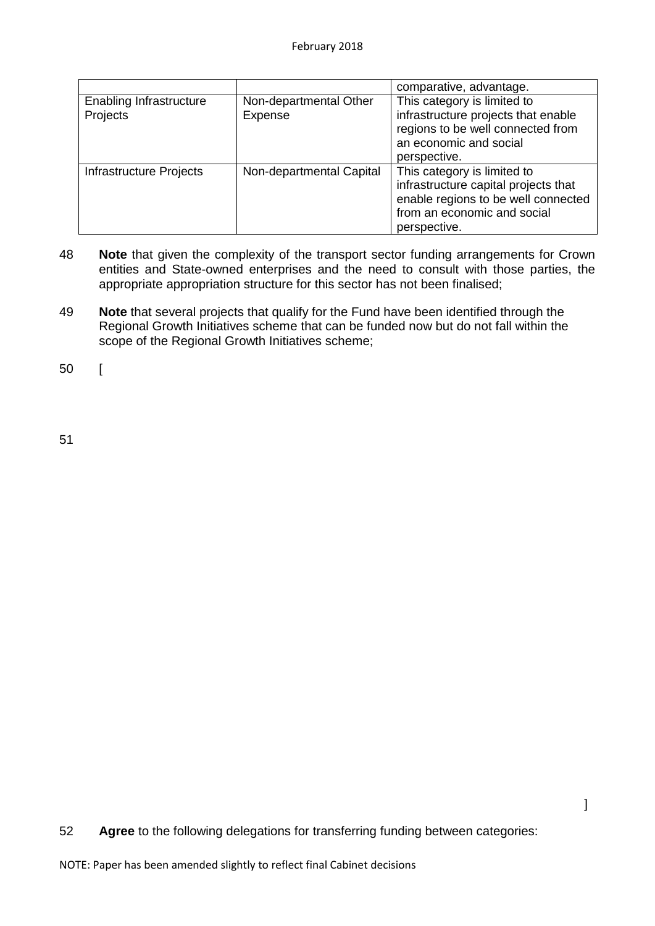|                                            |                                   | comparative, advantage.                                                                                                                                   |
|--------------------------------------------|-----------------------------------|-----------------------------------------------------------------------------------------------------------------------------------------------------------|
| <b>Enabling Infrastructure</b><br>Projects | Non-departmental Other<br>Expense | This category is limited to<br>infrastructure projects that enable<br>regions to be well connected from<br>an economic and social<br>perspective.         |
| Infrastructure Projects                    | Non-departmental Capital          | This category is limited to<br>infrastructure capital projects that<br>enable regions to be well connected<br>from an economic and social<br>perspective. |

- 48 **Note** that given the complexity of the transport sector funding arrangements for Crown entities and State-owned enterprises and the need to consult with those parties, the appropriate appropriation structure for this sector has not been finalised;
- 49 **Note** that several projects that qualify for the Fund have been identified through the Regional Growth Initiatives scheme that can be funded now but do not fall within the scope of the Regional Growth Initiatives scheme;

50 [

51

52 **Agree** to the following delegations for transferring funding between categories: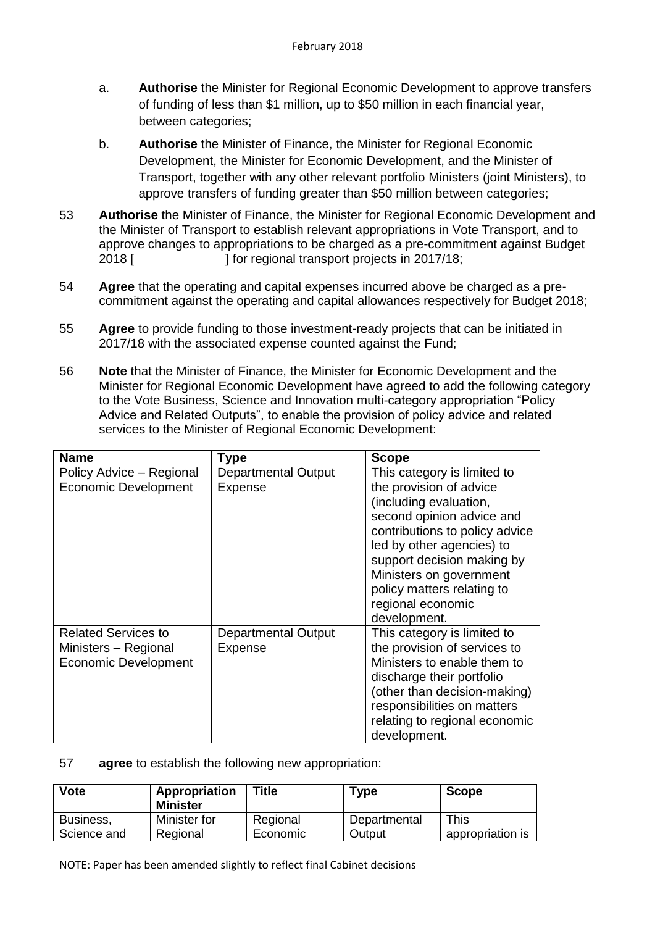- a. **Authorise** the Minister for Regional Economic Development to approve transfers of funding of less than \$1 million, up to \$50 million in each financial year, between categories;
- b. **Authorise** the Minister of Finance, the Minister for Regional Economic Development, the Minister for Economic Development, and the Minister of Transport, together with any other relevant portfolio Ministers (joint Ministers), to approve transfers of funding greater than \$50 million between categories;
- 53 **Authorise** the Minister of Finance, the Minister for Regional Economic Development and the Minister of Transport to establish relevant appropriations in Vote Transport, and to approve changes to appropriations to be charged as a pre-commitment against Budget 2018 [ ] for regional transport projects in 2017/18;
- 54 **Agree** that the operating and capital expenses incurred above be charged as a precommitment against the operating and capital allowances respectively for Budget 2018;
- 55 **Agree** to provide funding to those investment-ready projects that can be initiated in 2017/18 with the associated expense counted against the Fund;
- 56 **Note** that the Minister of Finance, the Minister for Economic Development and the Minister for Regional Economic Development have agreed to add the following category to the Vote Business, Science and Innovation multi-category appropriation "Policy Advice and Related Outputs", to enable the provision of policy advice and related services to the Minister of Regional Economic Development:

| <b>Name</b>                 | Type                       | <b>Scope</b>                   |
|-----------------------------|----------------------------|--------------------------------|
| Policy Advice - Regional    | <b>Departmental Output</b> | This category is limited to    |
| <b>Economic Development</b> | Expense                    | the provision of advice        |
|                             |                            | (including evaluation,         |
|                             |                            | second opinion advice and      |
|                             |                            | contributions to policy advice |
|                             |                            | led by other agencies) to      |
|                             |                            | support decision making by     |
|                             |                            | Ministers on government        |
|                             |                            | policy matters relating to     |
|                             |                            | regional economic              |
|                             |                            | development.                   |
| <b>Related Services to</b>  | <b>Departmental Output</b> | This category is limited to    |
| Ministers - Regional        | Expense                    | the provision of services to   |
| <b>Economic Development</b> |                            | Ministers to enable them to    |
|                             |                            | discharge their portfolio      |
|                             |                            | (other than decision-making)   |
|                             |                            | responsibilities on matters    |
|                             |                            | relating to regional economic  |
|                             |                            | development.                   |

### 57 **agree** to establish the following new appropriation:

| Vote        | Appropriation<br><b>Minister</b> | <b>Title</b> | Type         | <b>Scope</b>     |
|-------------|----------------------------------|--------------|--------------|------------------|
| Business,   | Minister for                     | Regional     | Departmental | This             |
| Science and | Regional                         | Economic     | Output       | appropriation is |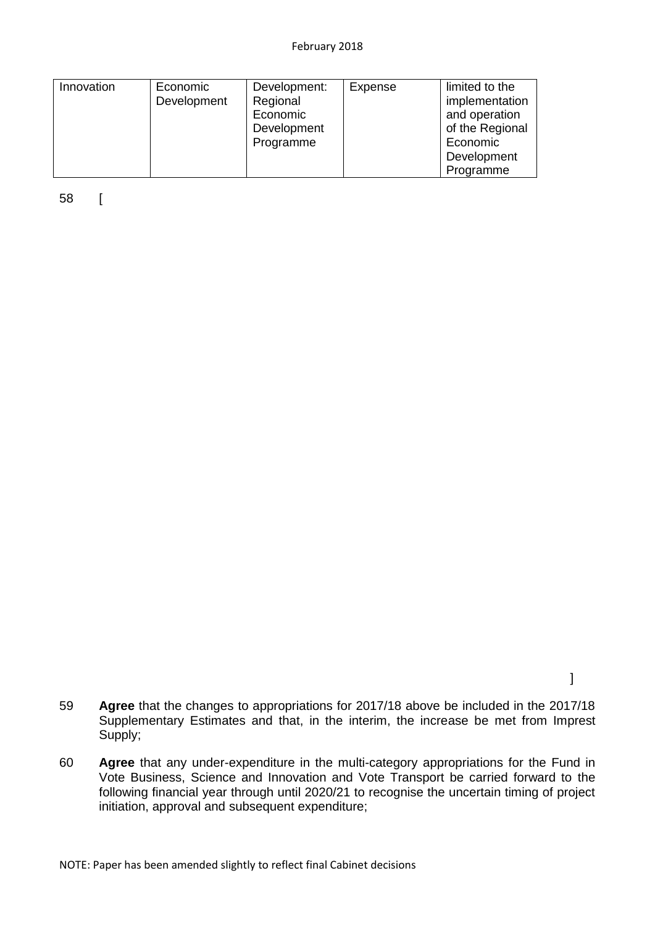#### February 2018

| Innovation | Economic    | Development: | Expense | limited to the  |
|------------|-------------|--------------|---------|-----------------|
|            | Development | Regional     |         | implementation  |
|            |             | Economic     |         | and operation   |
|            |             | Development  |         | of the Regional |
|            |             | Programme    |         | Economic        |
|            |             |              |         | Development     |
|            |             |              |         | Programme       |

58 [

- 59 **Agree** that the changes to appropriations for 2017/18 above be included in the 2017/18 Supplementary Estimates and that, in the interim, the increase be met from Imprest Supply;
- 60 **Agree** that any under-expenditure in the multi-category appropriations for the Fund in Vote Business, Science and Innovation and Vote Transport be carried forward to the following financial year through until 2020/21 to recognise the uncertain timing of project initiation, approval and subsequent expenditure;